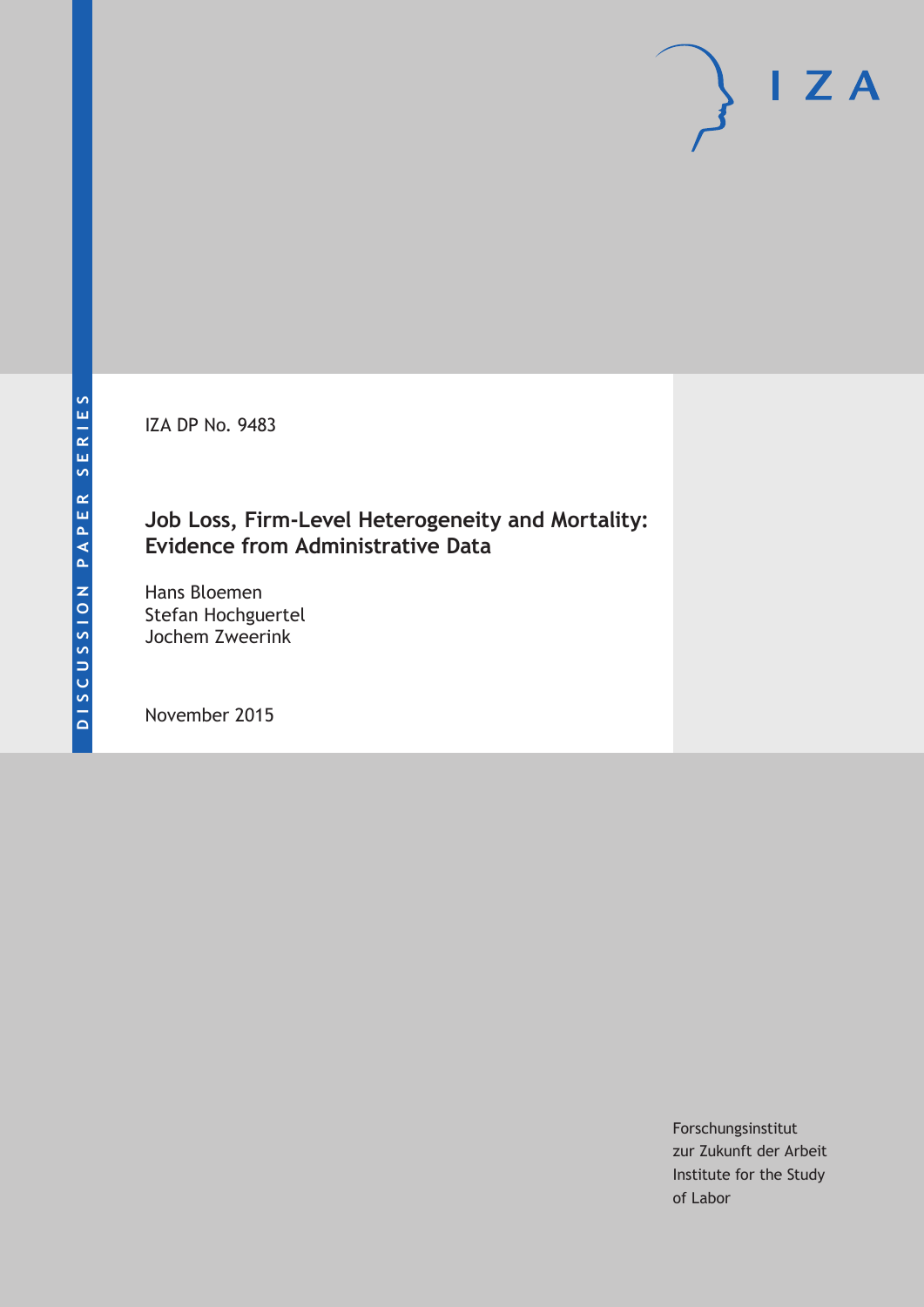IZA DP No. 9483

### **Job Loss, Firm-Level Heterogeneity and Mortality: Evidence from Administrative Data**

Hans Bloemen Stefan Hochguertel Jochem Zweerink

November 2015

Forschungsinstitut zur Zukunft der Arbeit Institute for the Study of Labor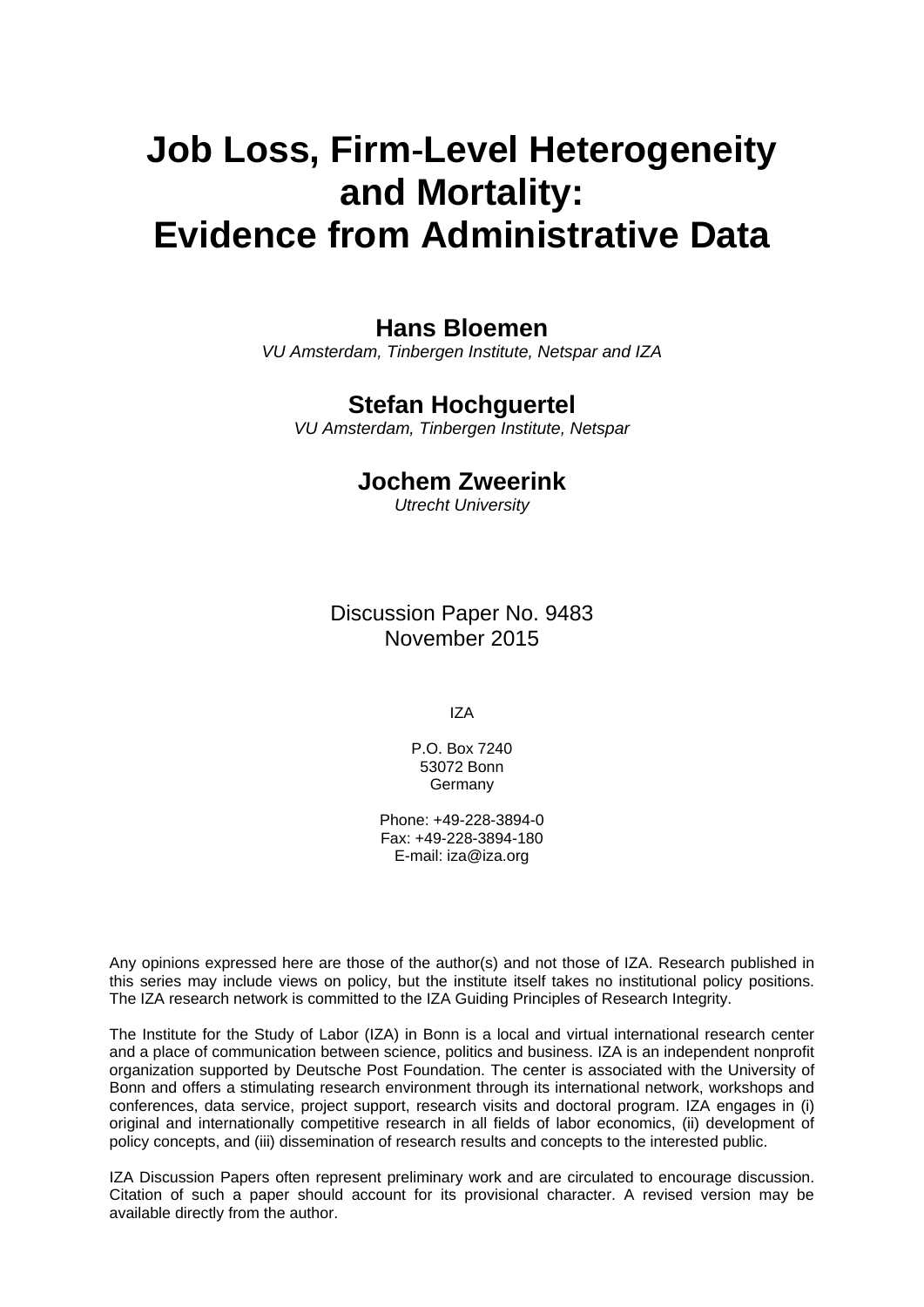# **Job Loss, Firm**‐**Level Heterogeneity and Mortality: Evidence from Administrative Data**

### **Hans Bloemen**

*VU Amsterdam, Tinbergen Institute, Netspar and IZA* 

### **Stefan Hochguertel**

*VU Amsterdam, Tinbergen Institute, Netspar* 

### **Jochem Zweerink**

*Utrecht University*

Discussion Paper No. 9483 November 2015

IZA

P.O. Box 7240 53072 Bonn Germany

Phone: +49-228-3894-0 Fax: +49-228-3894-180 E-mail: iza@iza.org

Any opinions expressed here are those of the author(s) and not those of IZA. Research published in this series may include views on policy, but the institute itself takes no institutional policy positions. The IZA research network is committed to the IZA Guiding Principles of Research Integrity.

The Institute for the Study of Labor (IZA) in Bonn is a local and virtual international research center and a place of communication between science, politics and business. IZA is an independent nonprofit organization supported by Deutsche Post Foundation. The center is associated with the University of Bonn and offers a stimulating research environment through its international network, workshops and conferences, data service, project support, research visits and doctoral program. IZA engages in (i) original and internationally competitive research in all fields of labor economics, (ii) development of policy concepts, and (iii) dissemination of research results and concepts to the interested public.

IZA Discussion Papers often represent preliminary work and are circulated to encourage discussion. Citation of such a paper should account for its provisional character. A revised version may be available directly from the author.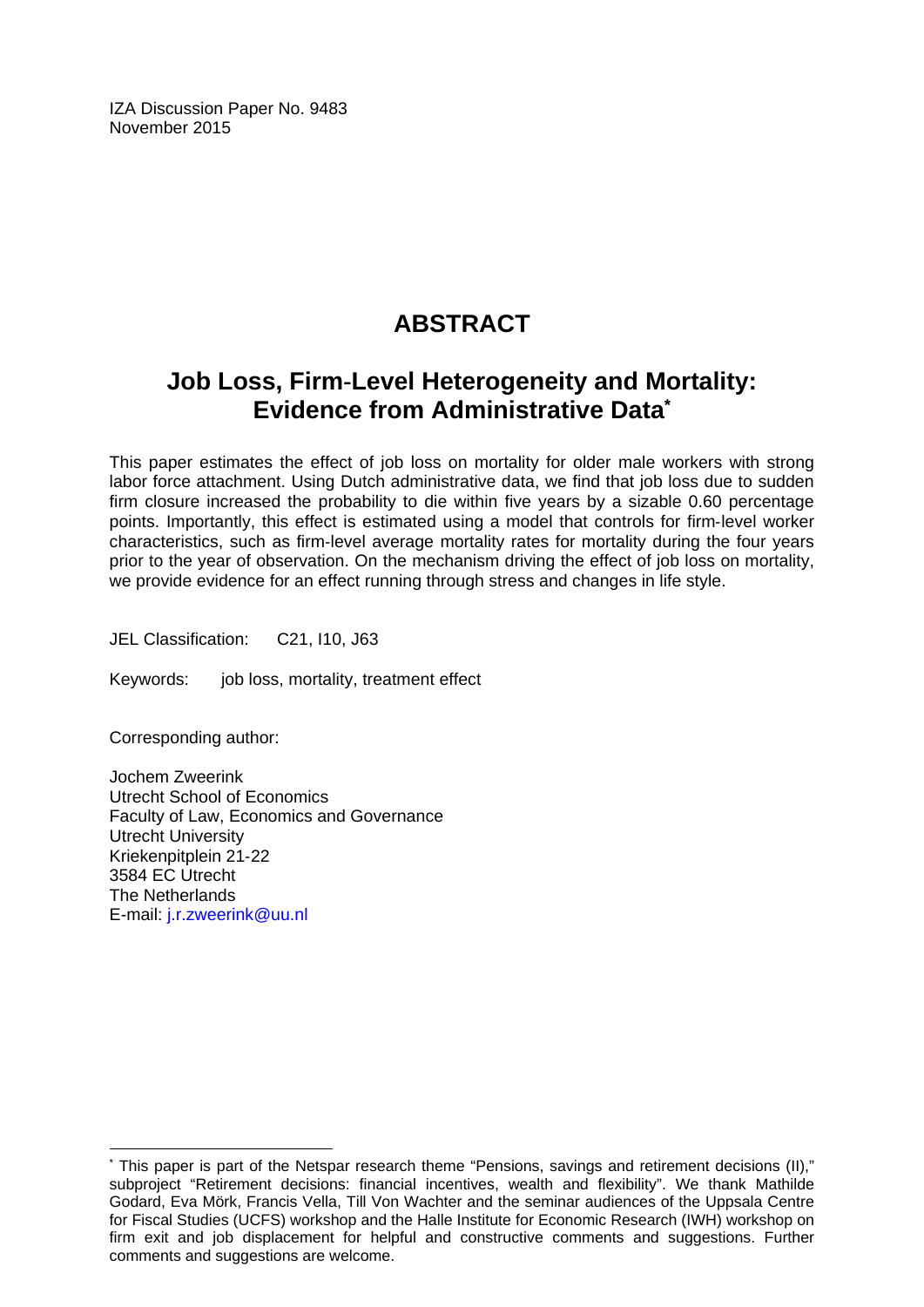IZA Discussion Paper No. 9483 November 2015

# **ABSTRACT**

## **Job Loss, Firm**‐**Level Heterogeneity and Mortality: Evidence from Administrative Data\***

This paper estimates the effect of job loss on mortality for older male workers with strong labor force attachment. Using Dutch administrative data, we find that job loss due to sudden firm closure increased the probability to die within five years by a sizable 0.60 percentage points. Importantly, this effect is estimated using a model that controls for firm‐level worker characteristics, such as firm‐level average mortality rates for mortality during the four years prior to the year of observation. On the mechanism driving the effect of job loss on mortality, we provide evidence for an effect running through stress and changes in life style.

JEL Classification: C21, I10, J63

Keywords: job loss, mortality, treatment effect

Corresponding author:

 $\overline{\phantom{a}}$ 

Jochem Zweerink Utrecht School of Economics Faculty of Law, Economics and Governance Utrecht University Kriekenpitplein 21‐22 3584 EC Utrecht The Netherlands E-mail: j.r.zweerink@uu.nl

<sup>\*</sup> This paper is part of the Netspar research theme "Pensions, savings and retirement decisions (II)," subproject "Retirement decisions: financial incentives, wealth and flexibility". We thank Mathilde Godard, Eva Mörk, Francis Vella, Till Von Wachter and the seminar audiences of the Uppsala Centre for Fiscal Studies (UCFS) workshop and the Halle Institute for Economic Research (IWH) workshop on firm exit and job displacement for helpful and constructive comments and suggestions. Further comments and suggestions are welcome.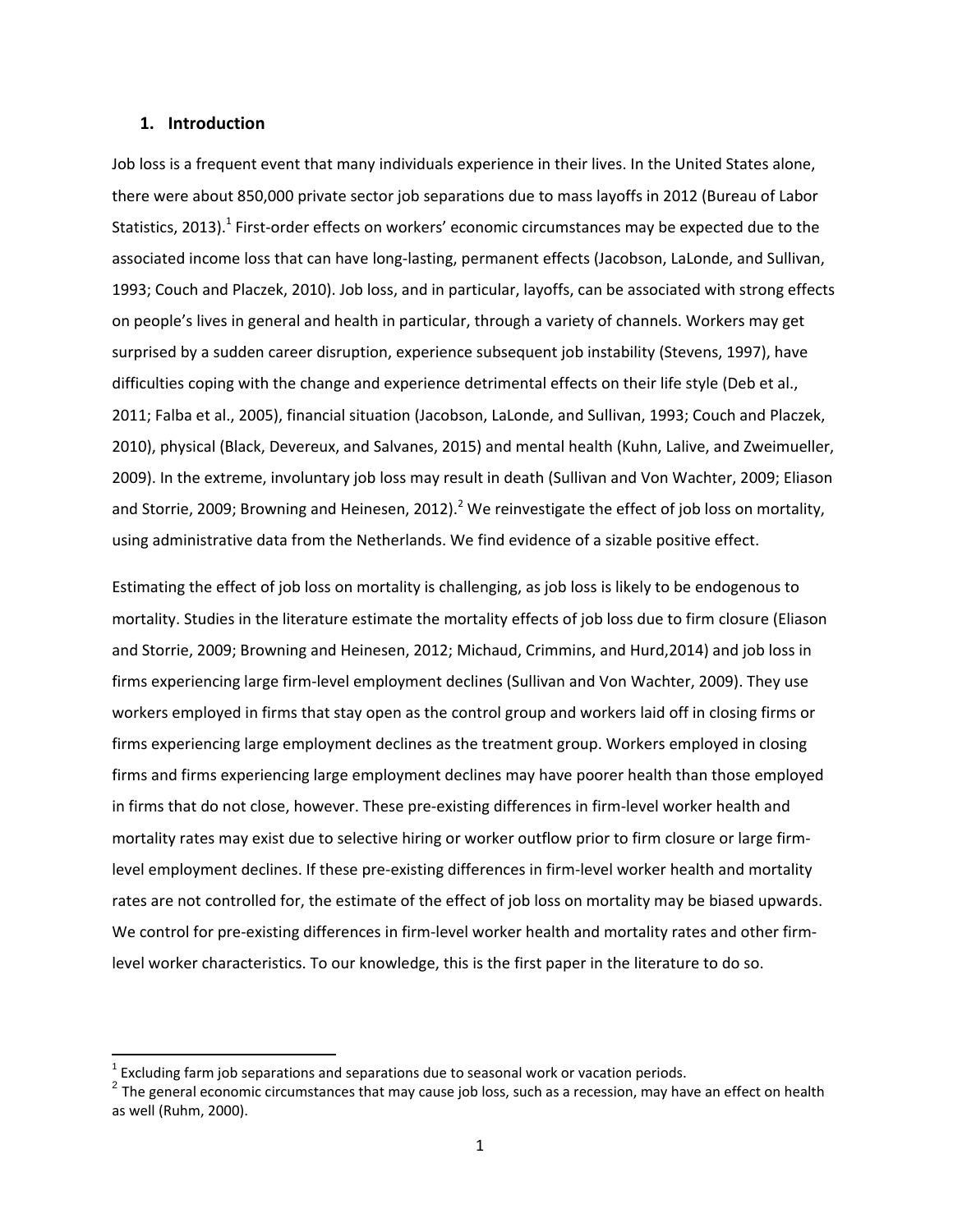#### **1. Introduction**

Job loss is a frequent event that many individuals experience in their lives. In the United States alone, there were about 850,000 private sector job separations due to mass layoffs in 2012 (Bureau of Labor Statistics, 2013).<sup>1</sup> First-order effects on workers' economic circumstances may be expected due to the associated income loss that can have long‐lasting, permanent effects (Jacobson, LaLonde, and Sullivan, 1993; Couch and Placzek, 2010). Job loss, and in particular, layoffs, can be associated with strong effects on people's lives in general and health in particular, through a variety of channels. Workers may get surprised by a sudden career disruption, experience subsequent job instability (Stevens, 1997), have difficulties coping with the change and experience detrimental effects on their life style (Deb et al., 2011; Falba et al., 2005), financial situation (Jacobson, LaLonde, and Sullivan, 1993; Couch and Placzek, 2010), physical (Black, Devereux, and Salvanes, 2015) and mental health (Kuhn, Lalive, and Zweimueller, 2009). In the extreme, involuntary job loss may result in death (Sullivan and Von Wachter, 2009; Eliason and Storrie, 2009; Browning and Heinesen, 2012).<sup>2</sup> We reinvestigate the effect of job loss on mortality, using administrative data from the Netherlands. We find evidence of a sizable positive effect.

Estimating the effect of job loss on mortality is challenging, as job loss is likely to be endogenous to mortality. Studies in the literature estimate the mortality effects of job loss due to firm closure (Eliason and Storrie, 2009; Browning and Heinesen, 2012; Michaud, Crimmins, and Hurd,2014) and job loss in firms experiencing large firm‐level employment declines (Sullivan and Von Wachter, 2009). They use workers employed in firms that stay open as the control group and workers laid off in closing firms or firms experiencing large employment declines as the treatment group. Workers employed in closing firms and firms experiencing large employment declines may have poorer health than those employed in firms that do not close, however. These pre‐existing differences in firm‐level worker health and mortality rates may exist due to selective hiring or worker outflow prior to firm closure or large firm‐ level employment declines. If these pre-existing differences in firm-level worker health and mortality rates are not controlled for, the estimate of the effect of job loss on mortality may be biased upwards. We control for pre-existing differences in firm-level worker health and mortality rates and other firmlevel worker characteristics. To our knowledge, this is the first paper in the literature to do so.

 $1$  Excluding farm job separations and separations due to seasonal work or vacation periods.

<sup>&</sup>lt;sup>2</sup> The general economic circumstances that may cause job loss, such as a recession, may have an effect on health as well (Ruhm, 2000).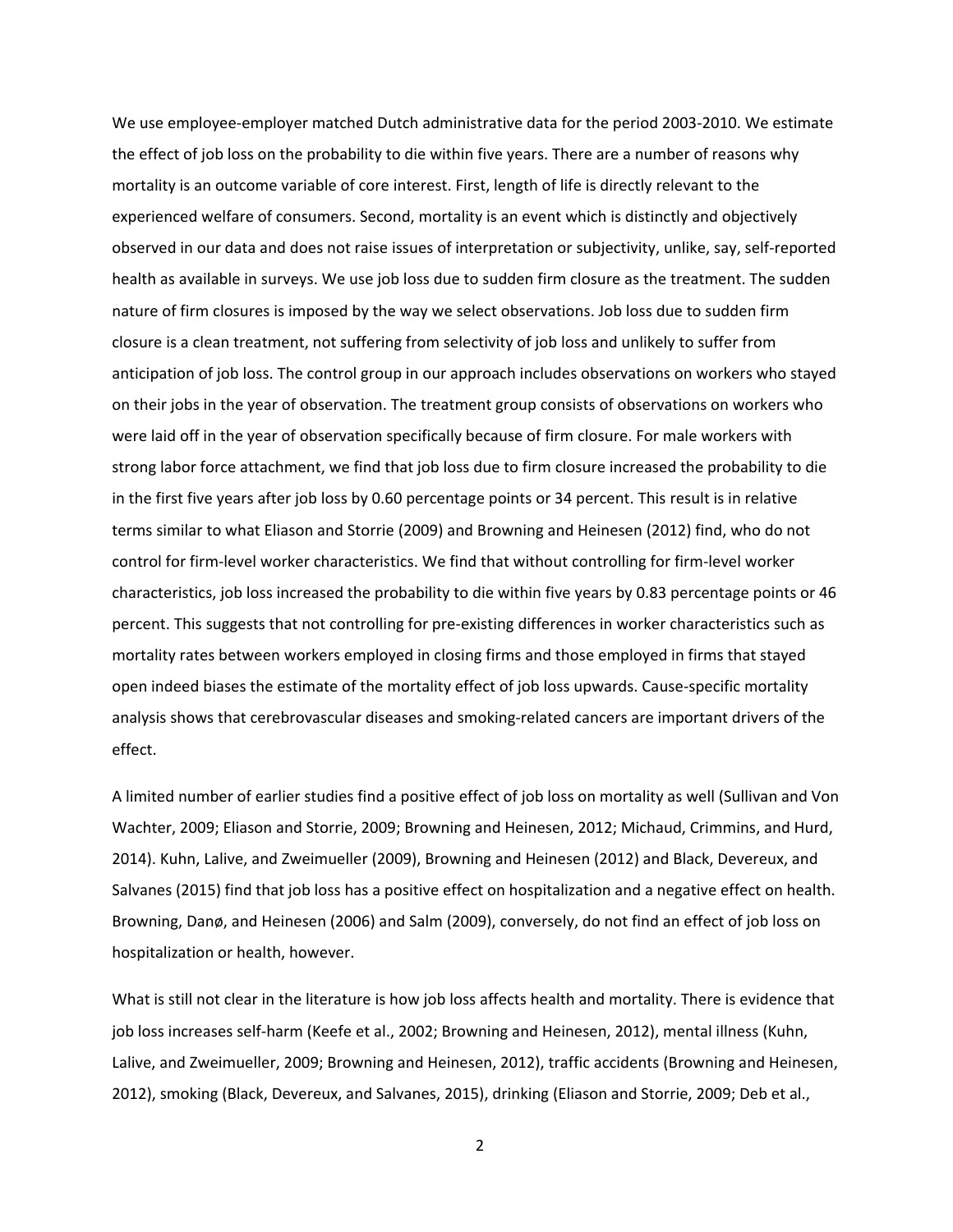We use employee-employer matched Dutch administrative data for the period 2003-2010. We estimate the effect of job loss on the probability to die within five years. There are a number of reasons why mortality is an outcome variable of core interest. First, length of life is directly relevant to the experienced welfare of consumers. Second, mortality is an event which is distinctly and objectively observed in our data and does not raise issues of interpretation or subjectivity, unlike, say, self‐reported health as available in surveys. We use job loss due to sudden firm closure as the treatment. The sudden nature of firm closures is imposed by the way we select observations. Job loss due to sudden firm closure is a clean treatment, not suffering from selectivity of job loss and unlikely to suffer from anticipation of job loss. The control group in our approach includes observations on workers who stayed on their jobs in the year of observation. The treatment group consists of observations on workers who were laid off in the year of observation specifically because of firm closure. For male workers with strong labor force attachment, we find that job loss due to firm closure increased the probability to die in the first five years after job loss by 0.60 percentage points or 34 percent. This result is in relative terms similar to what Eliason and Storrie (2009) and Browning and Heinesen (2012) find, who do not control for firm‐level worker characteristics. We find that without controlling for firm‐level worker characteristics, job loss increased the probability to die within five years by 0.83 percentage points or 46 percent. This suggests that not controlling for pre‐existing differences in worker characteristics such as mortality rates between workers employed in closing firms and those employed in firms that stayed open indeed biases the estimate of the mortality effect of job loss upwards. Cause‐specific mortality analysis shows that cerebrovascular diseases and smoking‐related cancers are important drivers of the effect.

A limited number of earlier studies find a positive effect of job loss on mortality as well (Sullivan and Von Wachter, 2009; Eliason and Storrie, 2009; Browning and Heinesen, 2012; Michaud, Crimmins, and Hurd, 2014). Kuhn, Lalive, and Zweimueller (2009), Browning and Heinesen (2012) and Black, Devereux, and Salvanes (2015) find that job loss has a positive effect on hospitalization and a negative effect on health. Browning, Danø, and Heinesen (2006) and Salm (2009), conversely, do not find an effect of job loss on hospitalization or health, however.

What is still not clear in the literature is how job loss affects health and mortality. There is evidence that job loss increases self‐harm (Keefe et al., 2002; Browning and Heinesen, 2012), mental illness (Kuhn, Lalive, and Zweimueller, 2009; Browning and Heinesen, 2012), traffic accidents (Browning and Heinesen, 2012), smoking (Black, Devereux, and Salvanes, 2015), drinking (Eliason and Storrie, 2009; Deb et al.,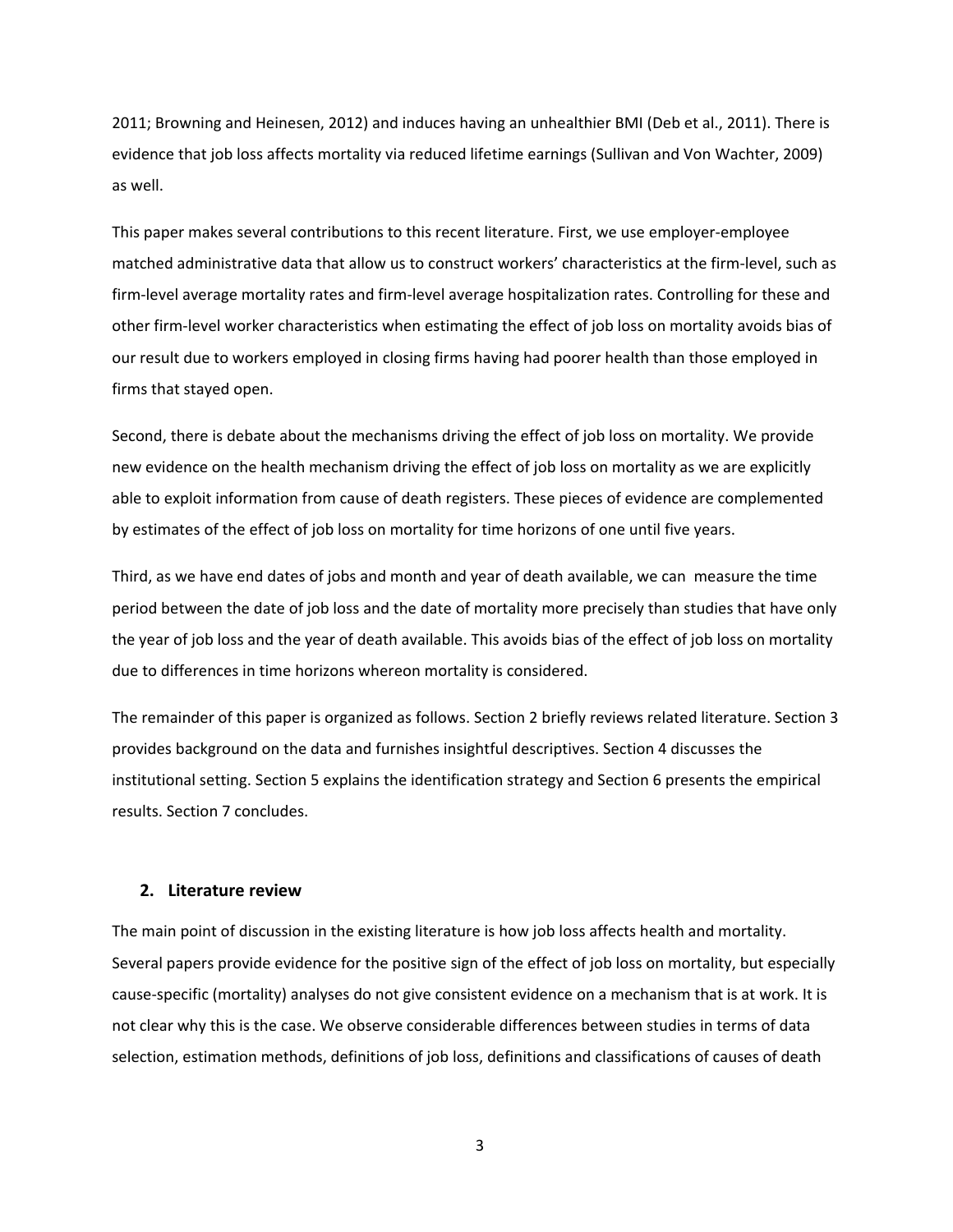2011; Browning and Heinesen, 2012) and induces having an unhealthier BMI (Deb et al., 2011). There is evidence that job loss affects mortality via reduced lifetime earnings (Sullivan and Von Wachter, 2009) as well.

This paper makes several contributions to this recent literature. First, we use employer‐employee matched administrative data that allow us to construct workers' characteristics at the firm‐level, such as firm‐level average mortality rates and firm‐level average hospitalization rates. Controlling for these and other firm‐level worker characteristics when estimating the effect of job loss on mortality avoids bias of our result due to workers employed in closing firms having had poorer health than those employed in firms that stayed open.

Second, there is debate about the mechanisms driving the effect of job loss on mortality. We provide new evidence on the health mechanism driving the effect of job loss on mortality as we are explicitly able to exploit information from cause of death registers. These pieces of evidence are complemented by estimates of the effect of job loss on mortality for time horizons of one until five years.

Third, as we have end dates of jobs and month and year of death available, we can measure the time period between the date of job loss and the date of mortality more precisely than studies that have only the year of job loss and the year of death available. This avoids bias of the effect of job loss on mortality due to differences in time horizons whereon mortality is considered.

The remainder of this paper is organized as follows. Section 2 briefly reviews related literature. Section 3 provides background on the data and furnishes insightful descriptives. Section 4 discusses the institutional setting. Section 5 explains the identification strategy and Section 6 presents the empirical results. Section 7 concludes.

#### **2. Literature review**

The main point of discussion in the existing literature is how job loss affects health and mortality. Several papers provide evidence for the positive sign of the effect of job loss on mortality, but especially cause‐specific (mortality) analyses do not give consistent evidence on a mechanism that is at work. It is not clear why this is the case. We observe considerable differences between studies in terms of data selection, estimation methods, definitions of job loss, definitions and classifications of causes of death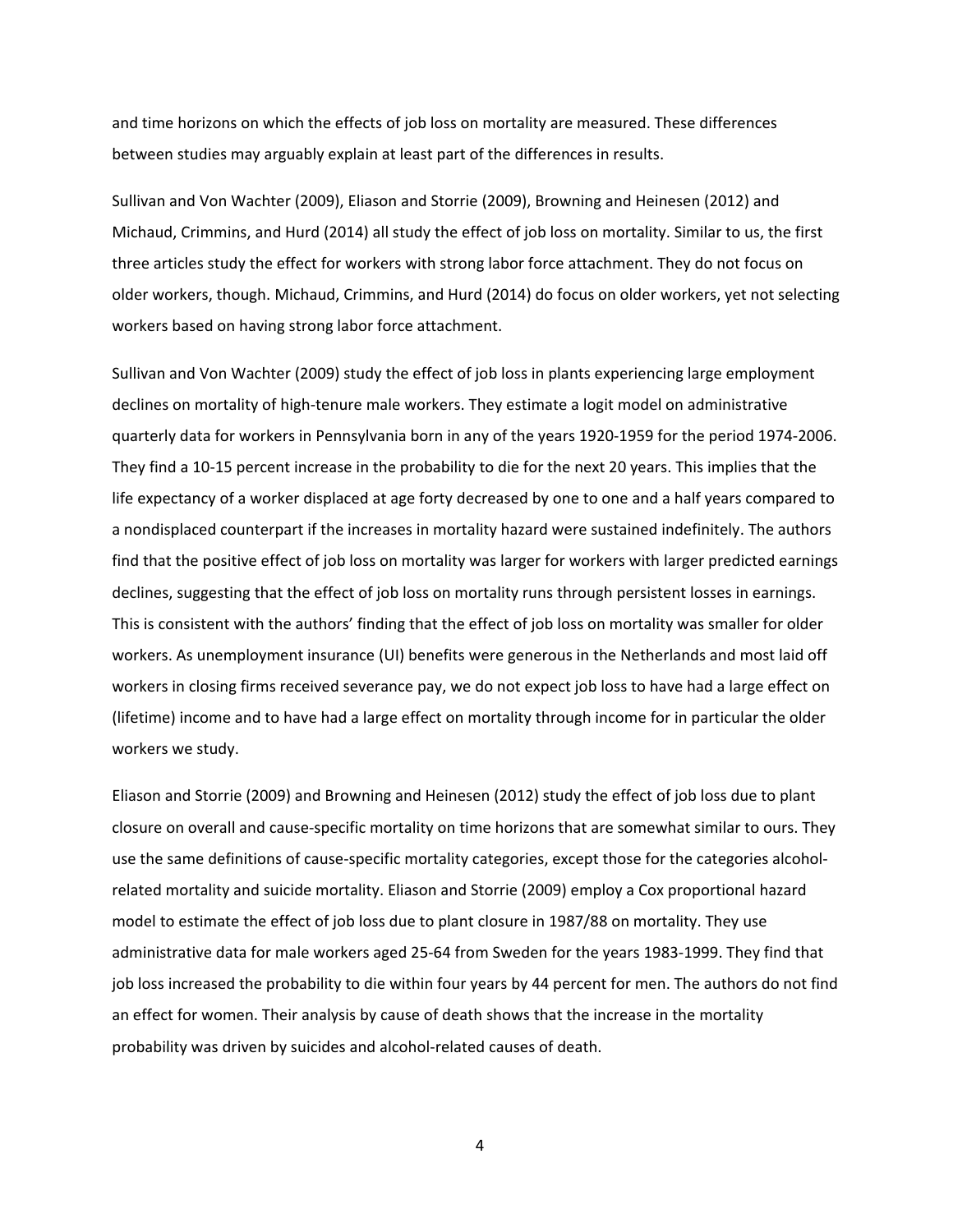and time horizons on which the effects of job loss on mortality are measured. These differences between studies may arguably explain at least part of the differences in results.

Sullivan and Von Wachter (2009), Eliason and Storrie (2009), Browning and Heinesen (2012) and Michaud, Crimmins, and Hurd (2014) all study the effect of job loss on mortality. Similar to us, the first three articles study the effect for workers with strong labor force attachment. They do not focus on older workers, though. Michaud, Crimmins, and Hurd (2014) do focus on older workers, yet not selecting workers based on having strong labor force attachment.

Sullivan and Von Wachter (2009) study the effect of job loss in plants experiencing large employment declines on mortality of high‐tenure male workers. They estimate a logit model on administrative quarterly data for workers in Pennsylvania born in any of the years 1920‐1959 for the period 1974‐2006. They find a 10‐15 percent increase in the probability to die for the next 20 years. This implies that the life expectancy of a worker displaced at age forty decreased by one to one and a half years compared to a nondisplaced counterpart if the increases in mortality hazard were sustained indefinitely. The authors find that the positive effect of job loss on mortality was larger for workers with larger predicted earnings declines, suggesting that the effect of job loss on mortality runs through persistent losses in earnings. This is consistent with the authors' finding that the effect of job loss on mortality was smaller for older workers. As unemployment insurance (UI) benefits were generous in the Netherlands and most laid off workers in closing firms received severance pay, we do not expect job loss to have had a large effect on (lifetime) income and to have had a large effect on mortality through income for in particular the older workers we study.

Eliason and Storrie (2009) and Browning and Heinesen (2012) study the effect of job loss due to plant closure on overall and cause‐specific mortality on time horizons that are somewhat similar to ours. They use the same definitions of cause‐specific mortality categories, except those for the categories alcohol‐ related mortality and suicide mortality. Eliason and Storrie (2009) employ a Cox proportional hazard model to estimate the effect of job loss due to plant closure in 1987/88 on mortality. They use administrative data for male workers aged 25‐64 from Sweden for the years 1983‐1999. They find that job loss increased the probability to die within four years by 44 percent for men. The authors do not find an effect for women. Their analysis by cause of death shows that the increase in the mortality probability was driven by suicides and alcohol‐related causes of death.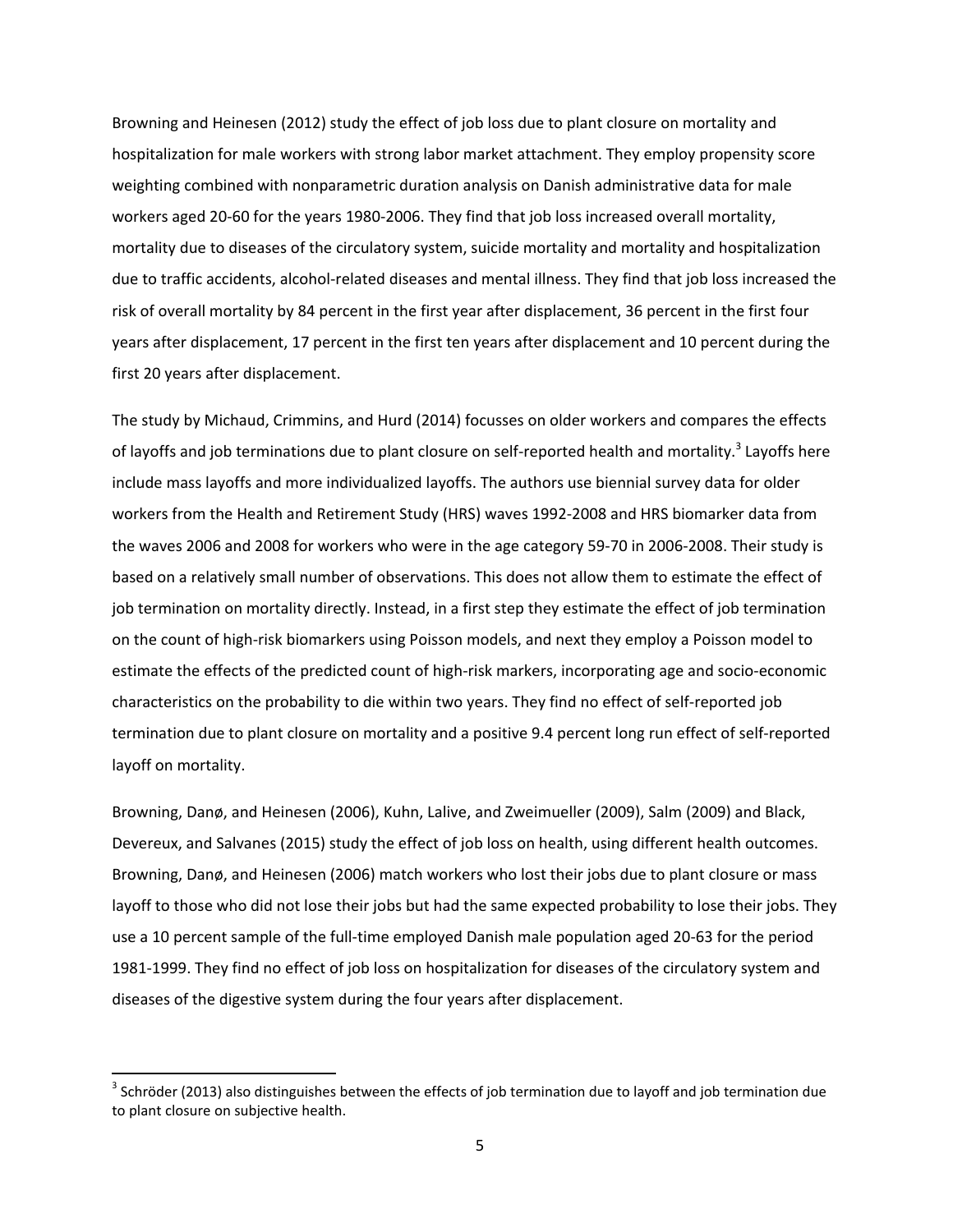Browning and Heinesen (2012) study the effect of job loss due to plant closure on mortality and hospitalization for male workers with strong labor market attachment. They employ propensity score weighting combined with nonparametric duration analysis on Danish administrative data for male workers aged 20-60 for the years 1980-2006. They find that job loss increased overall mortality, mortality due to diseases of the circulatory system, suicide mortality and mortality and hospitalization due to traffic accidents, alcohol‐related diseases and mental illness. They find that job loss increased the risk of overall mortality by 84 percent in the first year after displacement, 36 percent in the first four years after displacement, 17 percent in the first ten years after displacement and 10 percent during the first 20 years after displacement.

The study by Michaud, Crimmins, and Hurd (2014) focusses on older workers and compares the effects of layoffs and job terminations due to plant closure on self-reported health and mortality.<sup>3</sup> Layoffs here include mass layoffs and more individualized layoffs. The authors use biennial survey data for older workers from the Health and Retirement Study (HRS) waves 1992‐2008 and HRS biomarker data from the waves 2006 and 2008 for workers who were in the age category 59‐70 in 2006‐2008. Their study is based on a relatively small number of observations. This does not allow them to estimate the effect of job termination on mortality directly. Instead, in a first step they estimate the effect of job termination on the count of high‐risk biomarkers using Poisson models, and next they employ a Poisson model to estimate the effects of the predicted count of high-risk markers, incorporating age and socio-economic characteristics on the probability to die within two years. They find no effect of self‐reported job termination due to plant closure on mortality and a positive 9.4 percent long run effect of self‐reported layoff on mortality.

Browning, Danø, and Heinesen (2006), Kuhn, Lalive, and Zweimueller (2009), Salm (2009) and Black, Devereux, and Salvanes (2015) study the effect of job loss on health, using different health outcomes. Browning, Danø, and Heinesen (2006) match workers who lost their jobs due to plant closure or mass layoff to those who did not lose their jobs but had the same expected probability to lose their jobs. They use a 10 percent sample of the full-time employed Danish male population aged 20-63 for the period 1981‐1999. They find no effect of job loss on hospitalization for diseases of the circulatory system and diseases of the digestive system during the four years after displacement.

 $3$  Schröder (2013) also distinguishes between the effects of job termination due to layoff and job termination due to plant closure on subjective health.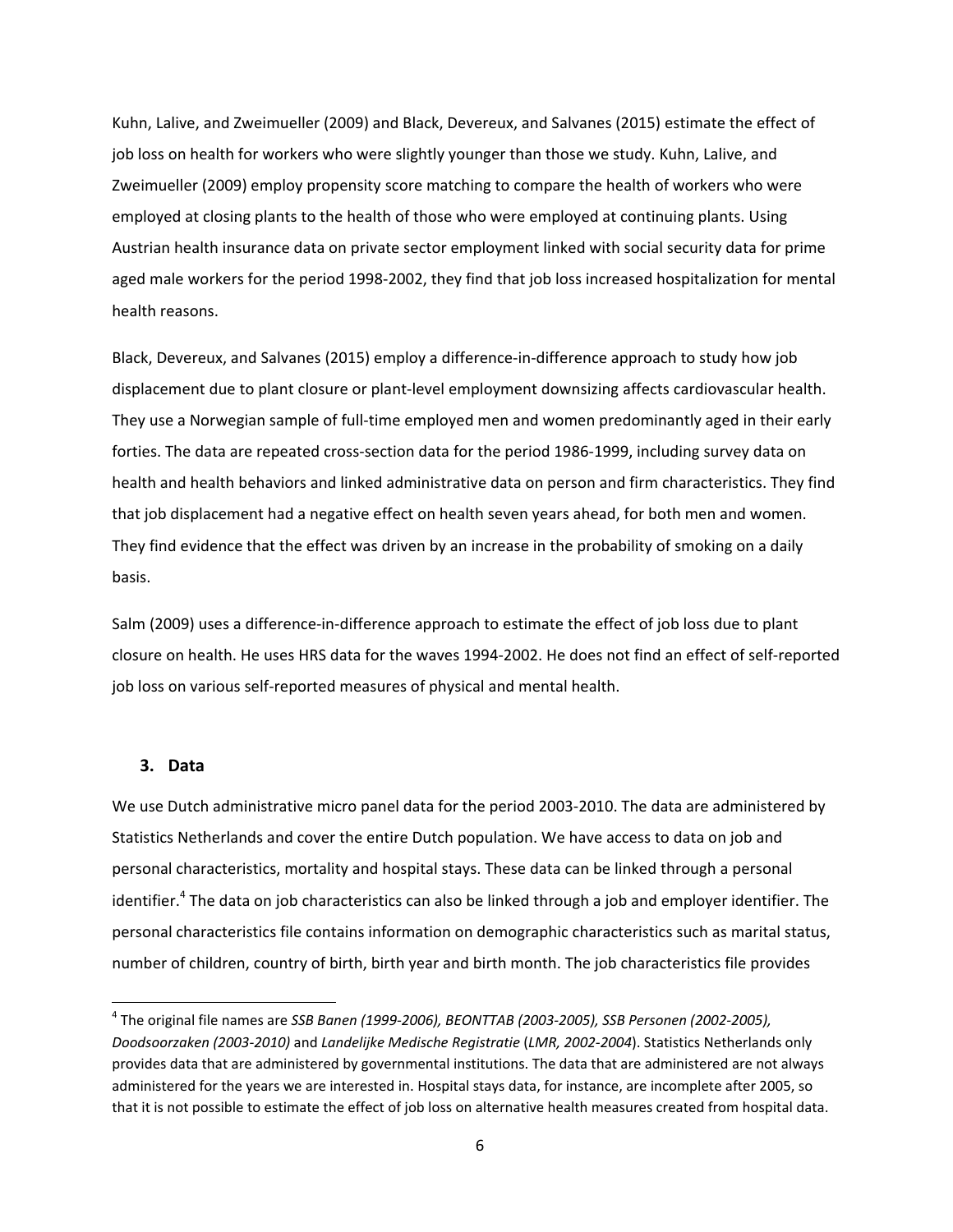Kuhn, Lalive, and Zweimueller (2009) and Black, Devereux, and Salvanes (2015) estimate the effect of job loss on health for workers who were slightly younger than those we study. Kuhn, Lalive, and Zweimueller (2009) employ propensity score matching to compare the health of workers who were employed at closing plants to the health of those who were employed at continuing plants. Using Austrian health insurance data on private sector employment linked with social security data for prime aged male workers for the period 1998‐2002, they find that job loss increased hospitalization for mental health reasons.

Black, Devereux, and Salvanes (2015) employ a difference‐in‐difference approach to study how job displacement due to plant closure or plant‐level employment downsizing affects cardiovascular health. They use a Norwegian sample of full‐time employed men and women predominantly aged in their early forties. The data are repeated cross‐section data for the period 1986‐1999, including survey data on health and health behaviors and linked administrative data on person and firm characteristics. They find that job displacement had a negative effect on health seven years ahead, for both men and women. They find evidence that the effect was driven by an increase in the probability of smoking on a daily basis.

Salm (2009) uses a difference-in-difference approach to estimate the effect of job loss due to plant closure on health. He uses HRS data for the waves 1994‐2002. He does not find an effect of self‐reported job loss on various self‐reported measures of physical and mental health.

#### **3. Data**

We use Dutch administrative micro panel data for the period 2003-2010. The data are administered by Statistics Netherlands and cover the entire Dutch population. We have access to data on job and personal characteristics, mortality and hospital stays. These data can be linked through a personal identifier.<sup>4</sup> The data on job characteristics can also be linked through a job and employer identifier. The personal characteristics file contains information on demographic characteristics such as marital status, number of children, country of birth, birth year and birth month. The job characteristics file provides

<sup>4</sup> The original file names are *SSB Banen (1999‐2006), BEONTTAB (2003‐2005), SSB Personen (2002‐2005), Doodsoorzaken (2003‐2010)* and *Landelijke Medische Registratie* (*LMR, 2002‐2004*). Statistics Netherlands only provides data that are administered by governmental institutions. The data that are administered are not always administered for the years we are interested in. Hospital stays data, for instance, are incomplete after 2005, so that it is not possible to estimate the effect of job loss on alternative health measures created from hospital data.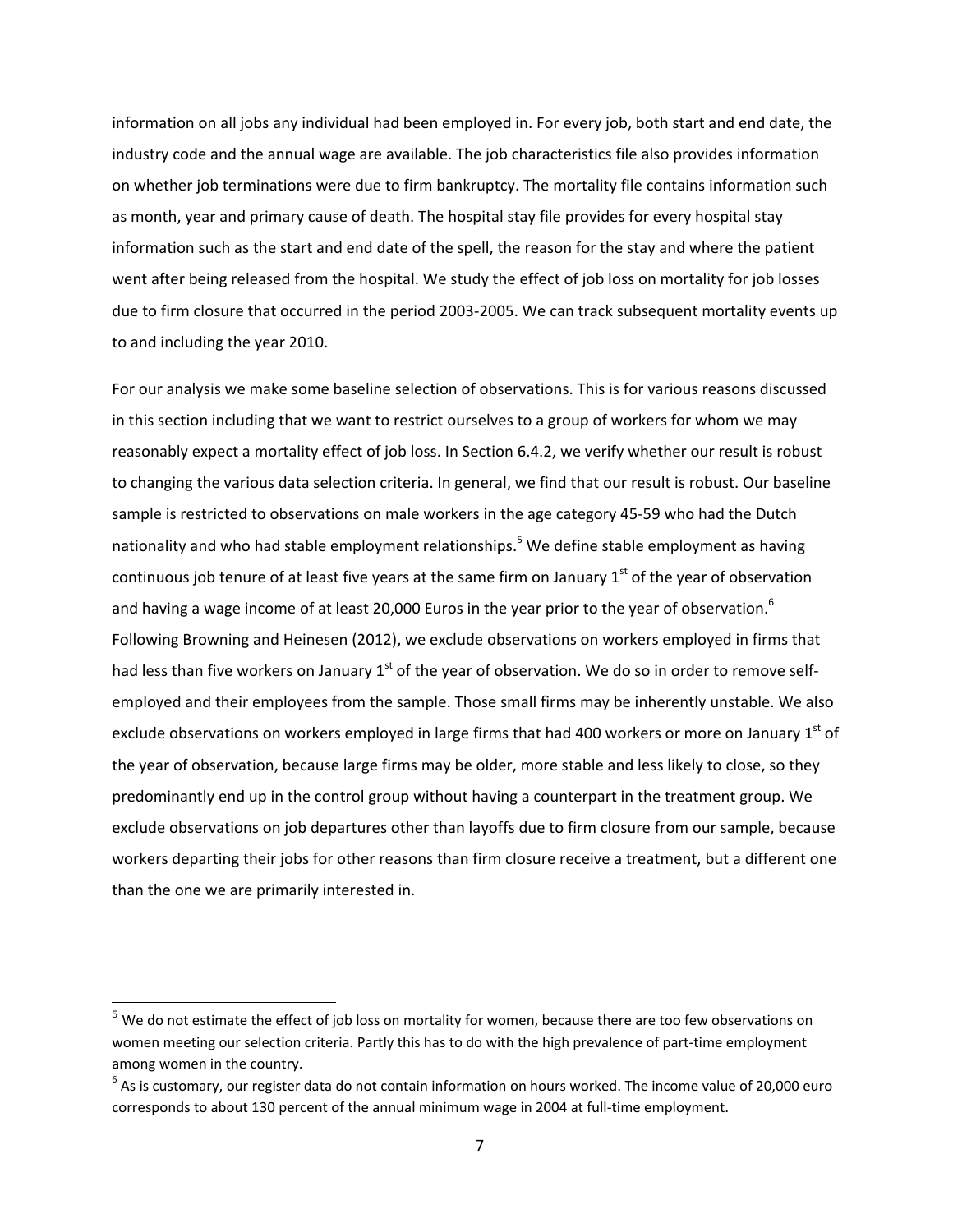information on all jobs any individual had been employed in. For every job, both start and end date, the industry code and the annual wage are available. The job characteristics file also provides information on whether job terminations were due to firm bankruptcy. The mortality file contains information such as month, year and primary cause of death. The hospital stay file provides for every hospital stay information such as the start and end date of the spell, the reason for the stay and where the patient went after being released from the hospital. We study the effect of job loss on mortality for job losses due to firm closure that occurred in the period 2003‐2005. We can track subsequent mortality events up to and including the year 2010.

For our analysis we make some baseline selection of observations. This is for various reasons discussed in this section including that we want to restrict ourselves to a group of workers for whom we may reasonably expect a mortality effect of job loss. In Section 6.4.2, we verify whether our result is robust to changing the various data selection criteria. In general, we find that our result is robust. Our baseline sample is restricted to observations on male workers in the age category 45‐59 who had the Dutch nationality and who had stable employment relationships.<sup>5</sup> We define stable employment as having continuous job tenure of at least five years at the same firm on January  $1<sup>st</sup>$  of the year of observation and having a wage income of at least 20,000 Euros in the year prior to the year of observation.<sup>6</sup> Following Browning and Heinesen (2012), we exclude observations on workers employed in firms that had less than five workers on January  $1<sup>st</sup>$  of the year of observation. We do so in order to remove selfemployed and their employees from the sample. Those small firms may be inherently unstable. We also exclude observations on workers employed in large firms that had 400 workers or more on January 1st of the year of observation, because large firms may be older, more stable and less likely to close, so they predominantly end up in the control group without having a counterpart in the treatment group. We exclude observations on job departures other than layoffs due to firm closure from our sample, because workers departing their jobs for other reasons than firm closure receive a treatment, but a different one than the one we are primarily interested in.

<sup>&</sup>lt;sup>5</sup> We do not estimate the effect of job loss on mortality for women, because there are too few observations on women meeting our selection criteria. Partly this has to do with the high prevalence of part-time employment among women in the country.

 $6$  As is customary, our register data do not contain information on hours worked. The income value of 20,000 euro corresponds to about 130 percent of the annual minimum wage in 2004 at full-time employment.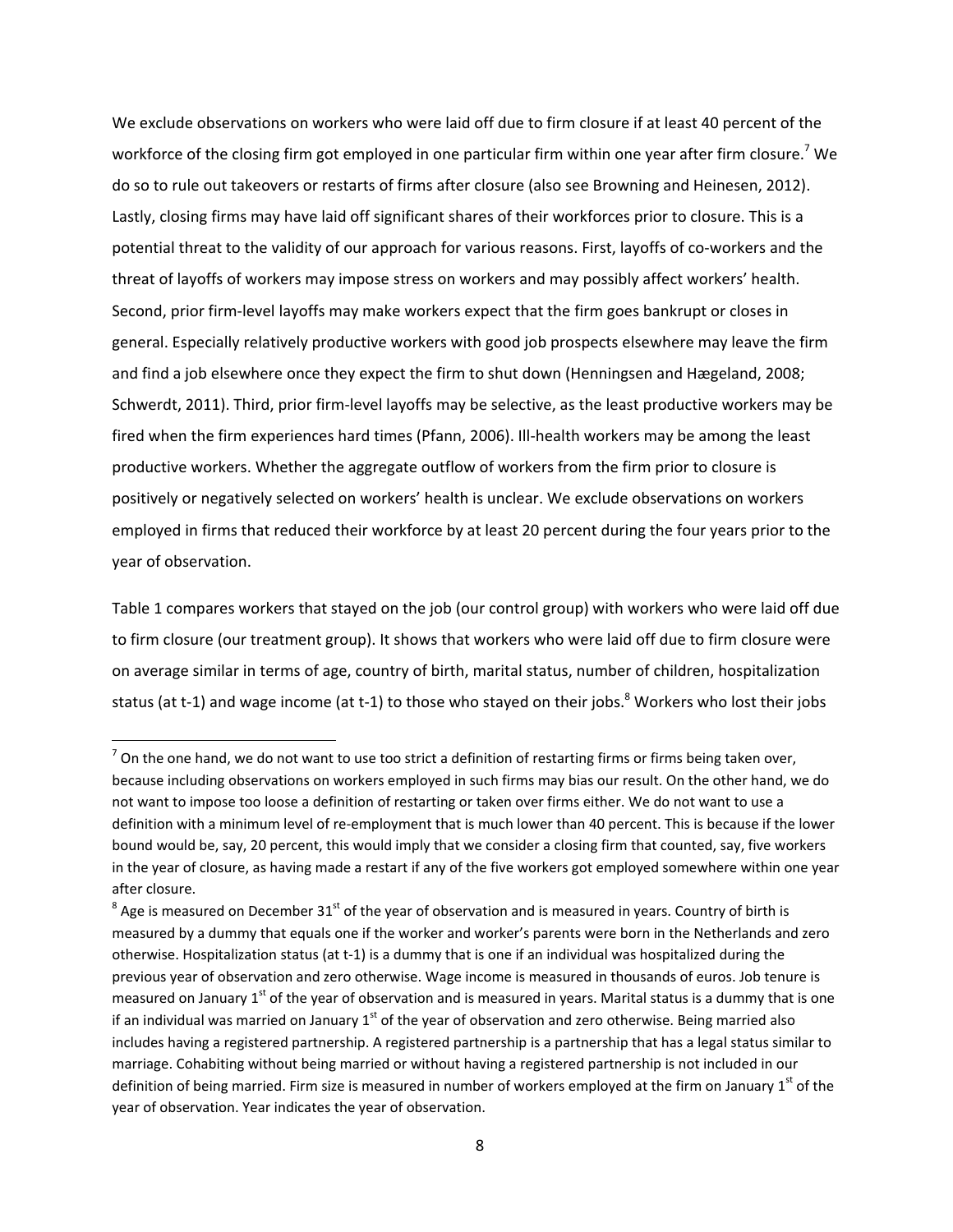We exclude observations on workers who were laid off due to firm closure if at least 40 percent of the workforce of the closing firm got employed in one particular firm within one year after firm closure.<sup>7</sup> We do so to rule out takeovers or restarts of firms after closure (also see Browning and Heinesen, 2012). Lastly, closing firms may have laid off significant shares of their workforces prior to closure. This is a potential threat to the validity of our approach for various reasons. First, layoffs of co-workers and the threat of layoffs of workers may impose stress on workers and may possibly affect workers' health. Second, prior firm‐level layoffs may make workers expect that the firm goes bankrupt or closes in general. Especially relatively productive workers with good job prospects elsewhere may leave the firm and find a job elsewhere once they expect the firm to shut down (Henningsen and Hægeland, 2008; Schwerdt, 2011). Third, prior firm‐level layoffs may be selective, as the least productive workers may be fired when the firm experiences hard times (Pfann, 2006). Ill-health workers may be among the least productive workers. Whether the aggregate outflow of workers from the firm prior to closure is positively or negatively selected on workers' health is unclear. We exclude observations on workers employed in firms that reduced their workforce by at least 20 percent during the four years prior to the year of observation.

Table 1 compares workers that stayed on the job (our control group) with workers who were laid off due to firm closure (our treatment group). It shows that workers who were laid off due to firm closure were on average similar in terms of age, country of birth, marital status, number of children, hospitalization status (at t-1) and wage income (at t-1) to those who stayed on their jobs.<sup>8</sup> Workers who lost their jobs

 $<sup>7</sup>$  On the one hand, we do not want to use too strict a definition of restarting firms or firms being taken over,</sup> because including observations on workers employed in such firms may bias our result. On the other hand, we do not want to impose too loose a definition of restarting or taken over firms either. We do not want to use a definition with a minimum level of re‐employment that is much lower than 40 percent. This is because if the lower bound would be, say, 20 percent, this would imply that we consider a closing firm that counted, say, five workers in the year of closure, as having made a restart if any of the five workers got employed somewhere within one year after closure.

 $8$  Age is measured on December 31 $^{\text{st}}$  of the year of observation and is measured in years. Country of birth is measured by a dummy that equals one if the worker and worker's parents were born in the Netherlands and zero otherwise. Hospitalization status (at t‐1) is a dummy that is one if an individual was hospitalized during the previous year of observation and zero otherwise. Wage income is measured in thousands of euros. Job tenure is measured on January 1<sup>st</sup> of the year of observation and is measured in years. Marital status is a dummy that is one if an individual was married on January 1<sup>st</sup> of the year of observation and zero otherwise. Being married also includes having a registered partnership. A registered partnership is a partnership that has a legal status similar to marriage. Cohabiting without being married or without having a registered partnership is not included in our definition of being married. Firm size is measured in number of workers employed at the firm on January  $1<sup>st</sup>$  of the year of observation. Year indicates the year of observation.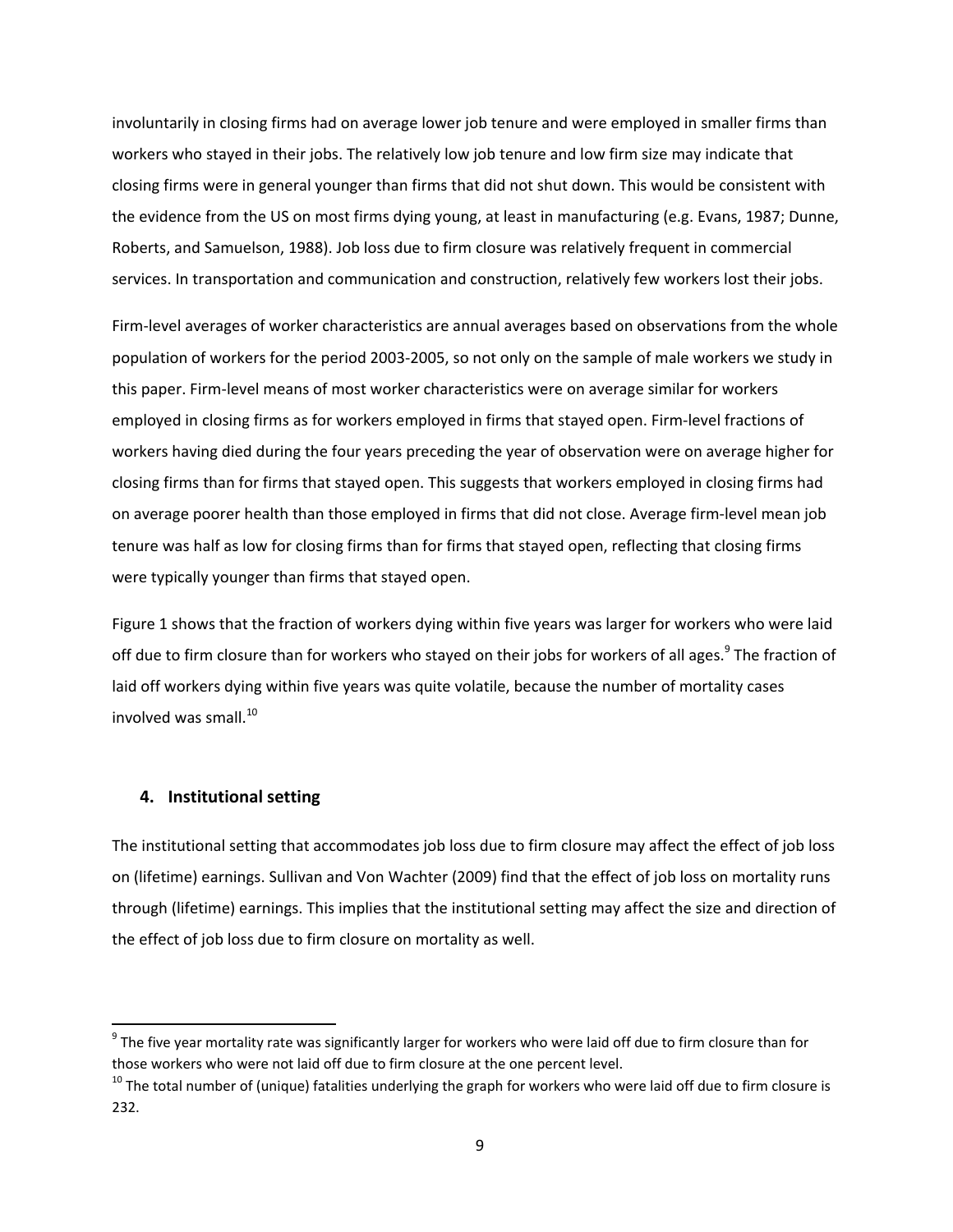involuntarily in closing firms had on average lower job tenure and were employed in smaller firms than workers who stayed in their jobs. The relatively low job tenure and low firm size may indicate that closing firms were in general younger than firms that did not shut down. This would be consistent with the evidence from the US on most firms dying young, at least in manufacturing (e.g. Evans, 1987; Dunne, Roberts, and Samuelson, 1988). Job loss due to firm closure was relatively frequent in commercial services. In transportation and communication and construction, relatively few workers lost their jobs.

Firm-level averages of worker characteristics are annual averages based on observations from the whole population of workers for the period 2003‐2005, so not only on the sample of male workers we study in this paper. Firm‐level means of most worker characteristics were on average similar for workers employed in closing firms as for workers employed in firms that stayed open. Firm-level fractions of workers having died during the four years preceding the year of observation were on average higher for closing firms than for firms that stayed open. This suggests that workers employed in closing firms had on average poorer health than those employed in firms that did not close. Average firm‐level mean job tenure was half as low for closing firms than for firms that stayed open, reflecting that closing firms were typically younger than firms that stayed open.

Figure 1 shows that the fraction of workers dying within five years was larger for workers who were laid off due to firm closure than for workers who stayed on their jobs for workers of all ages.<sup>9</sup> The fraction of laid off workers dying within five years was quite volatile, because the number of mortality cases involved was small.<sup>10</sup>

#### **4. Institutional setting**

The institutional setting that accommodates job loss due to firm closure may affect the effect of job loss on (lifetime) earnings. Sullivan and Von Wachter (2009) find that the effect of job loss on mortality runs through (lifetime) earnings. This implies that the institutional setting may affect the size and direction of the effect of job loss due to firm closure on mortality as well.

 $9$  The five year mortality rate was significantly larger for workers who were laid off due to firm closure than for those workers who were not laid off due to firm closure at the one percent level.

<sup>&</sup>lt;sup>10</sup> The total number of (unique) fatalities underlying the graph for workers who were laid off due to firm closure is 232.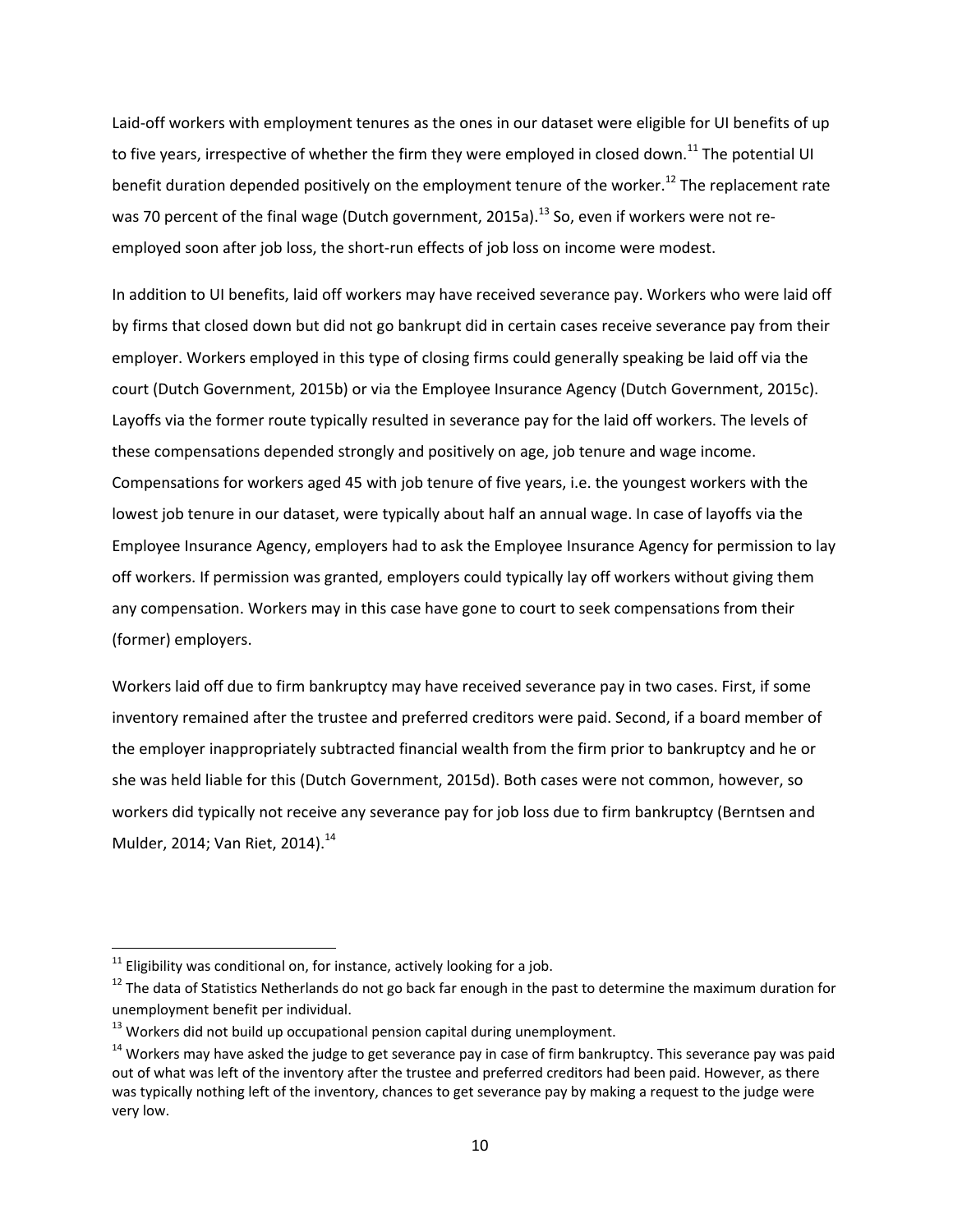Laid-off workers with employment tenures as the ones in our dataset were eligible for UI benefits of up to five years, irrespective of whether the firm they were employed in closed down.<sup>11</sup> The potential UI benefit duration depended positively on the employment tenure of the worker.<sup>12</sup> The replacement rate was 70 percent of the final wage (Dutch government, 2015a).<sup>13</sup> So, even if workers were not reemployed soon after job loss, the short-run effects of job loss on income were modest.

In addition to UI benefits, laid off workers may have received severance pay. Workers who were laid off by firms that closed down but did not go bankrupt did in certain cases receive severance pay from their employer. Workers employed in this type of closing firms could generally speaking be laid off via the court (Dutch Government, 2015b) or via the Employee Insurance Agency (Dutch Government, 2015c). Layoffs via the former route typically resulted in severance pay for the laid off workers. The levels of these compensations depended strongly and positively on age, job tenure and wage income. Compensations for workers aged 45 with job tenure of five years, i.e. the youngest workers with the lowest job tenure in our dataset, were typically about half an annual wage. In case of layoffs via the Employee Insurance Agency, employers had to ask the Employee Insurance Agency for permission to lay off workers. If permission was granted, employers could typically lay off workers without giving them any compensation. Workers may in this case have gone to court to seek compensations from their (former) employers.

Workers laid off due to firm bankruptcy may have received severance pay in two cases. First, if some inventory remained after the trustee and preferred creditors were paid. Second, if a board member of the employer inappropriately subtracted financial wealth from the firm prior to bankruptcy and he or she was held liable for this (Dutch Government, 2015d). Both cases were not common, however, so workers did typically not receive any severance pay for job loss due to firm bankruptcy (Berntsen and Mulder, 2014; Van Riet, 2014).<sup>14</sup>

 $11$  Eligibility was conditional on, for instance, actively looking for a job.

 $12$  The data of Statistics Netherlands do not go back far enough in the past to determine the maximum duration for unemployment benefit per individual.

<sup>&</sup>lt;sup>13</sup> Workers did not build up occupational pension capital during unemployment.

<sup>&</sup>lt;sup>14</sup> Workers may have asked the judge to get severance pay in case of firm bankruptcy. This severance pay was paid out of what was left of the inventory after the trustee and preferred creditors had been paid. However, as there was typically nothing left of the inventory, chances to get severance pay by making a request to the judge were very low.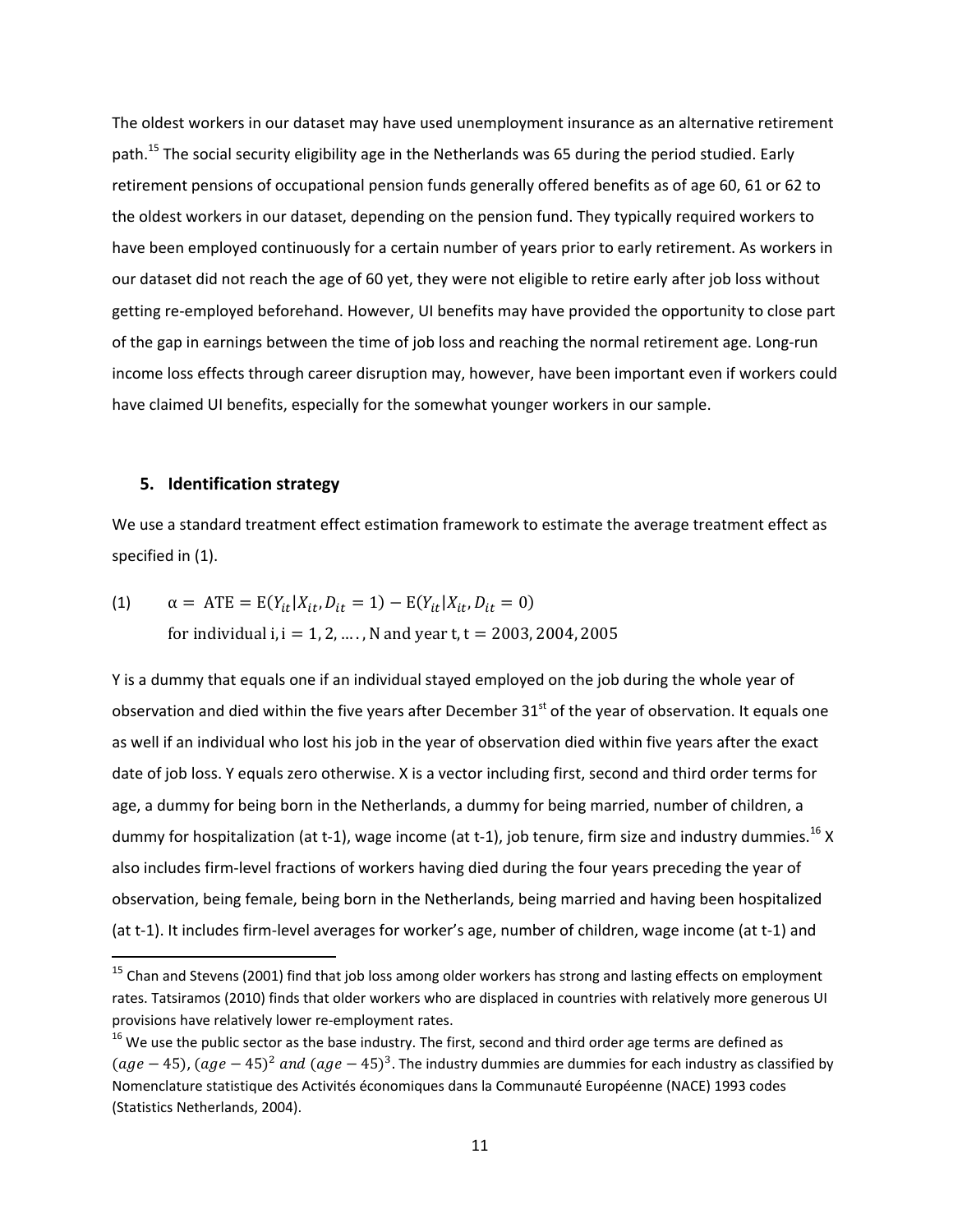The oldest workers in our dataset may have used unemployment insurance as an alternative retirement path.<sup>15</sup> The social security eligibility age in the Netherlands was 65 during the period studied. Early retirement pensions of occupational pension funds generally offered benefits as of age 60, 61 or 62 to the oldest workers in our dataset, depending on the pension fund. They typically required workers to have been employed continuously for a certain number of years prior to early retirement. As workers in our dataset did not reach the age of 60 yet, they were not eligible to retire early after job loss without getting re-employed beforehand. However, UI benefits may have provided the opportunity to close part of the gap in earnings between the time of job loss and reaching the normal retirement age. Long-run income loss effects through career disruption may, however, have been important even if workers could have claimed UI benefits, especially for the somewhat younger workers in our sample.

#### **5. Identification strategy**

We use a standard treatment effect estimation framework to estimate the average treatment effect as specified in (1).

(1) 
$$
\alpha = \text{ATE} = E(Y_{it}|X_{it}, D_{it} = 1) - E(Y_{it}|X_{it}, D_{it} = 0)
$$
  
for individual i, i = 1, 2, ..., N and year t, t = 2003, 2004, 2005

Y is a dummy that equals one if an individual stayed employed on the job during the whole year of observation and died within the five years after December  $31<sup>st</sup>$  of the year of observation. It equals one as well if an individual who lost his job in the year of observation died within five years after the exact date of job loss. Y equals zero otherwise. X is a vector including first, second and third order terms for age, a dummy for being born in the Netherlands, a dummy for being married, number of children, a dummy for hospitalization (at t-1), wage income (at t-1), job tenure, firm size and industry dummies.<sup>16</sup> X also includes firm‐level fractions of workers having died during the four years preceding the year of observation, being female, being born in the Netherlands, being married and having been hospitalized (at t‐1). It includes firm‐level averages for worker's age, number of children, wage income (at t‐1) and

<sup>&</sup>lt;sup>15</sup> Chan and Stevens (2001) find that job loss among older workers has strong and lasting effects on employment rates. Tatsiramos (2010) finds that older workers who are displaced in countries with relatively more generous UI provisions have relatively lower re-employment rates.

 $16$  We use the public sector as the base industry. The first, second and third order age terms are defined as  $(age - 45)$ ,  $(age - 45)^2$  and  $(age - 45)^3$ . The industry dummies are dummies for each industry as classified by Nomenclature statistique des Activités économiques dans la Communauté Européenne (NACE) 1993 codes (Statistics Netherlands, 2004).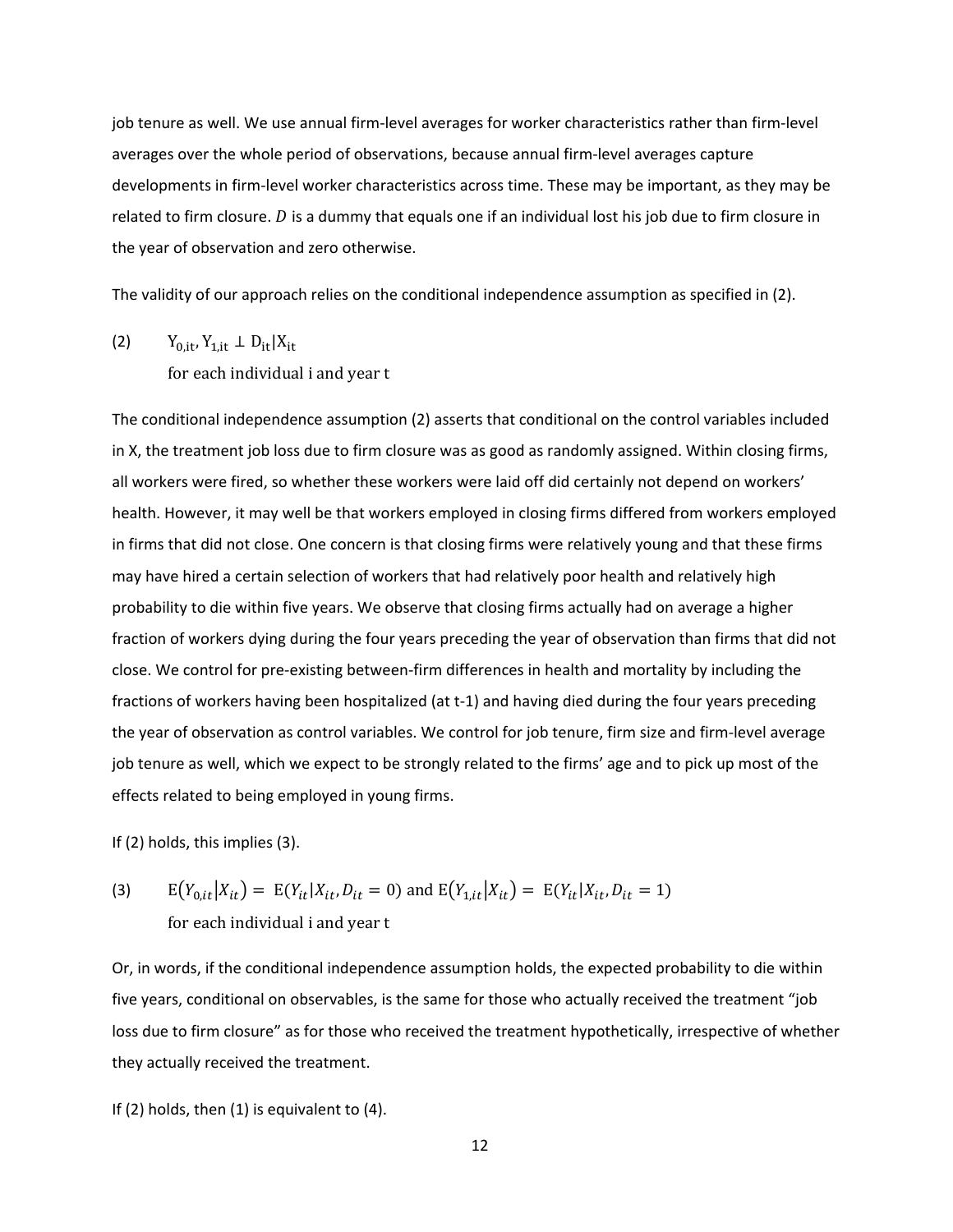job tenure as well. We use annual firm‐level averages for worker characteristics rather than firm‐level averages over the whole period of observations, because annual firm‐level averages capture developments in firm‐level worker characteristics across time. These may be important, as they may be related to firm closure.  $D$  is a dummy that equals one if an individual lost his job due to firm closure in the year of observation and zero otherwise.

The validity of our approach relies on the conditional independence assumption as specified in (2).

(2)  $Y_{0, it}$ ,  $Y_{1, it} \perp D_{it} | X_{it}$ for each individual i and year t

The conditional independence assumption (2) asserts that conditional on the control variables included in X, the treatment job loss due to firm closure was as good as randomly assigned. Within closing firms, all workers were fired, so whether these workers were laid off did certainly not depend on workers' health. However, it may well be that workers employed in closing firms differed from workers employed in firms that did not close. One concern is that closing firms were relatively young and that these firms may have hired a certain selection of workers that had relatively poor health and relatively high probability to die within five years. We observe that closing firms actually had on average a higher fraction of workers dying during the four years preceding the year of observation than firms that did not close. We control for pre‐existing between‐firm differences in health and mortality by including the fractions of workers having been hospitalized (at t‐1) and having died during the four years preceding the year of observation as control variables. We control for job tenure, firm size and firm‐level average job tenure as well, which we expect to be strongly related to the firms' age and to pick up most of the effects related to being employed in young firms.

If (2) holds, this implies (3).

(3) 
$$
E(Y_{0,it}|X_{it}) = E(Y_{it}|X_{it}, D_{it} = 0) \text{ and } E(Y_{1,it}|X_{it}) = E(Y_{it}|X_{it}, D_{it} = 1)
$$
  
for each individual i and year t

Or, in words, if the conditional independence assumption holds, the expected probability to die within five years, conditional on observables, is the same for those who actually received the treatment "job loss due to firm closure" as for those who received the treatment hypothetically, irrespective of whether they actually received the treatment.

If (2) holds, then (1) is equivalent to (4).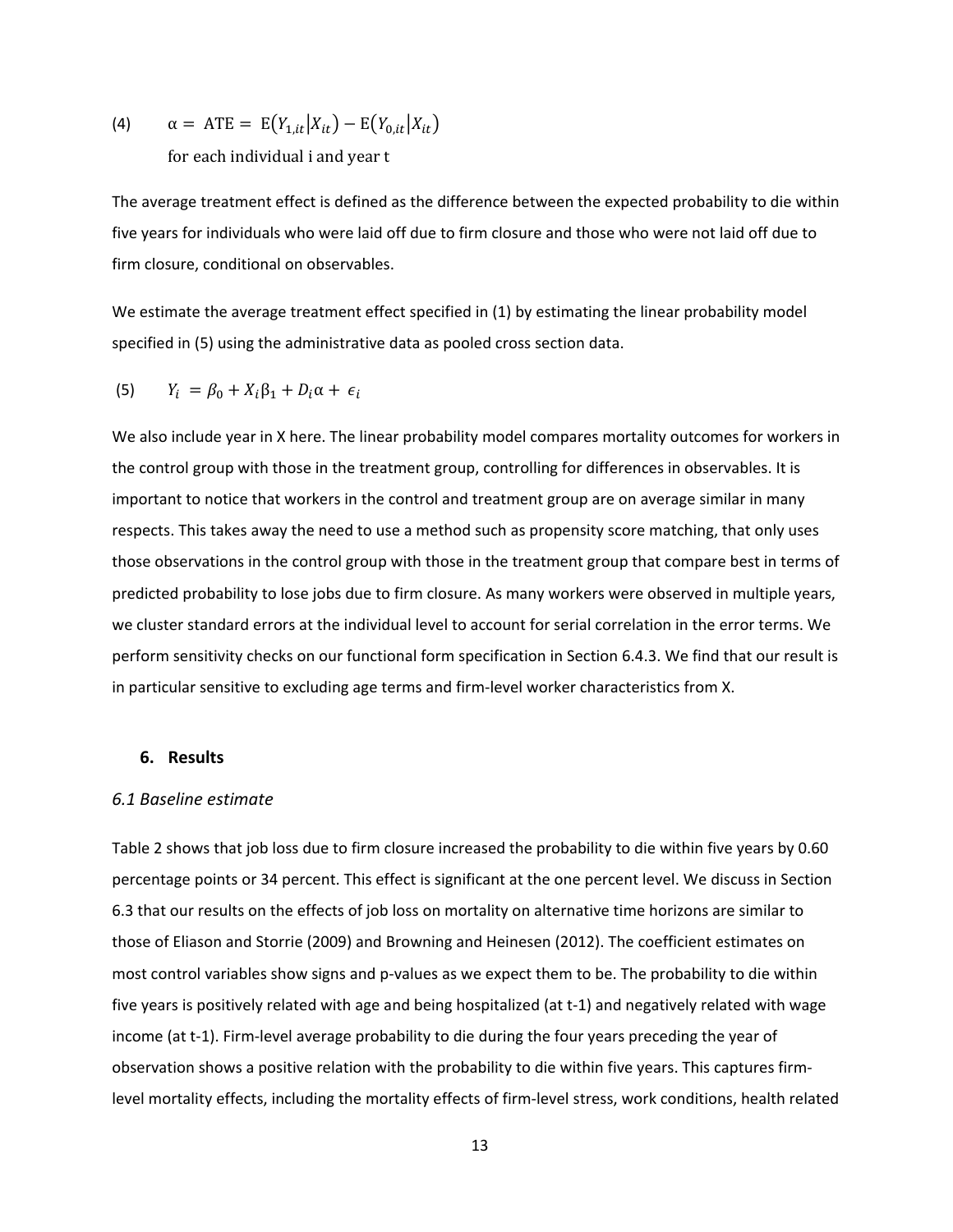(4)  $\alpha = ATE = E(Y_{1,it}|X_{it}) - E(Y_{0,it}|X_{it})$ for each individual i and year t

The average treatment effect is defined as the difference between the expected probability to die within five years for individuals who were laid off due to firm closure and those who were not laid off due to firm closure, conditional on observables.

We estimate the average treatment effect specified in (1) by estimating the linear probability model specified in (5) using the administrative data as pooled cross section data.

$$
(5) \qquad Y_i = \beta_0 + X_i \beta_1 + D_i \alpha + \epsilon_i
$$

We also include year in X here. The linear probability model compares mortality outcomes for workers in the control group with those in the treatment group, controlling for differences in observables. It is important to notice that workers in the control and treatment group are on average similar in many respects. This takes away the need to use a method such as propensity score matching, that only uses those observations in the control group with those in the treatment group that compare best in terms of predicted probability to lose jobs due to firm closure. As many workers were observed in multiple years, we cluster standard errors at the individual level to account for serial correlation in the error terms. We perform sensitivity checks on our functional form specification in Section 6.4.3. We find that our result is in particular sensitive to excluding age terms and firm‐level worker characteristics from X.

#### **6. Results**

#### *6.1 Baseline estimate*

Table 2 shows that job loss due to firm closure increased the probability to die within five years by 0.60 percentage points or 34 percent. This effect is significant at the one percent level. We discuss in Section 6.3 that our results on the effects of job loss on mortality on alternative time horizons are similar to those of Eliason and Storrie (2009) and Browning and Heinesen (2012). The coefficient estimates on most control variables show signs and p-values as we expect them to be. The probability to die within five years is positively related with age and being hospitalized (at t‐1) and negatively related with wage income (at t‐1). Firm‐level average probability to die during the four years preceding the year of observation shows a positive relation with the probability to die within five years. This captures firm‐ level mortality effects, including the mortality effects of firm‐level stress, work conditions, health related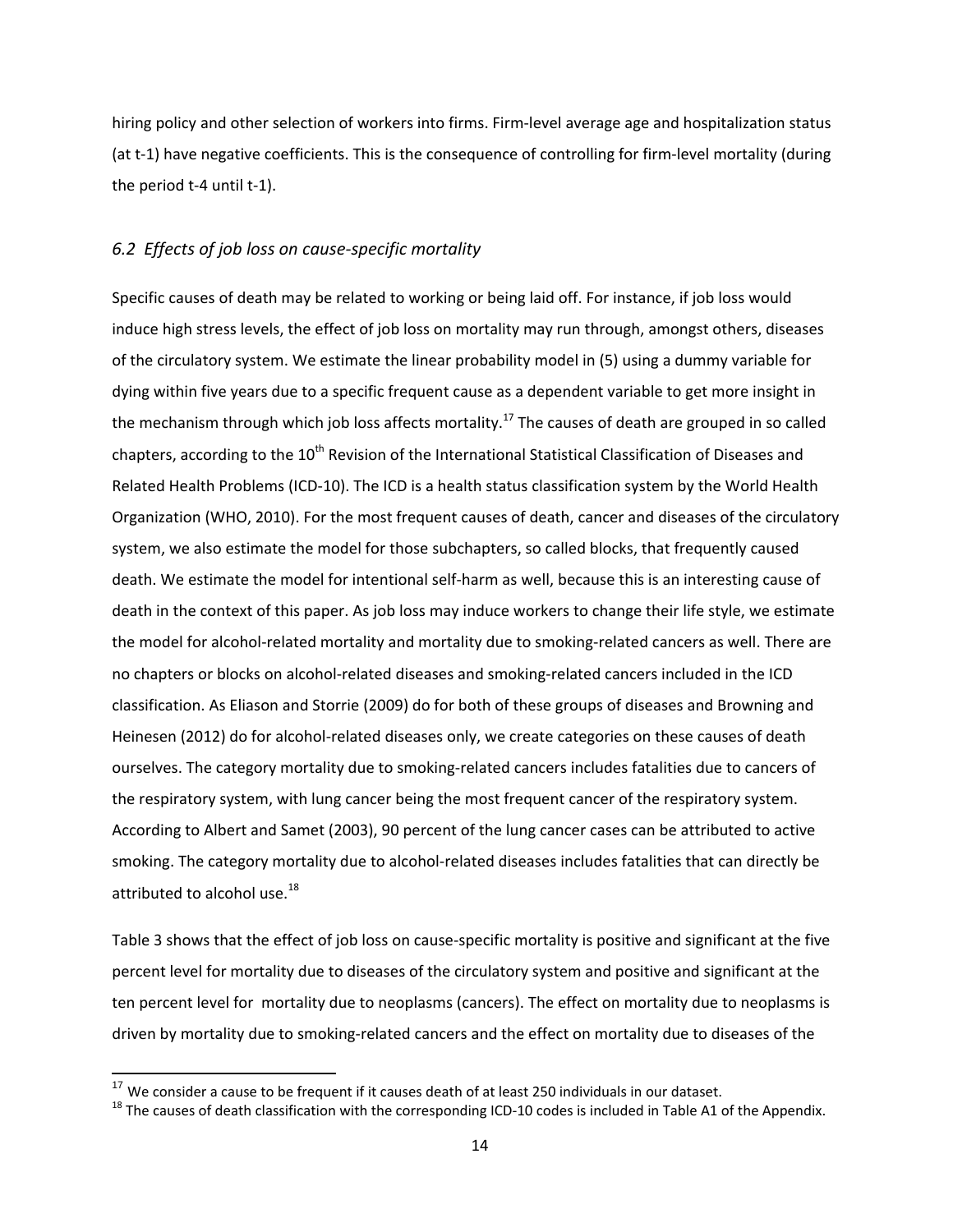hiring policy and other selection of workers into firms. Firm-level average age and hospitalization status (at t-1) have negative coefficients. This is the consequence of controlling for firm-level mortality (during the period t‐4 until t‐1).

#### *6.2 Effects of job loss on cause‐specific mortality*

Specific causes of death may be related to working or being laid off. For instance, if job loss would induce high stress levels, the effect of job loss on mortality may run through, amongst others, diseases of the circulatory system. We estimate the linear probability model in (5) using a dummy variable for dying within five years due to a specific frequent cause as a dependent variable to get more insight in the mechanism through which job loss affects mortality.<sup>17</sup> The causes of death are grouped in so called chapters, according to the 10<sup>th</sup> Revision of the International Statistical Classification of Diseases and Related Health Problems (ICD‐10). The ICD is a health status classification system by the World Health Organization (WHO, 2010). For the most frequent causes of death, cancer and diseases of the circulatory system, we also estimate the model for those subchapters, so called blocks, that frequently caused death. We estimate the model for intentional self‐harm as well, because this is an interesting cause of death in the context of this paper. As job loss may induce workers to change their life style, we estimate the model for alcohol-related mortality and mortality due to smoking-related cancers as well. There are no chapters or blocks on alcohol‐related diseases and smoking‐related cancers included in the ICD classification. As Eliason and Storrie (2009) do for both of these groups of diseases and Browning and Heinesen (2012) do for alcohol-related diseases only, we create categories on these causes of death ourselves. The category mortality due to smoking-related cancers includes fatalities due to cancers of the respiratory system, with lung cancer being the most frequent cancer of the respiratory system. According to Albert and Samet (2003), 90 percent of the lung cancer cases can be attributed to active smoking. The category mortality due to alcohol‐related diseases includes fatalities that can directly be attributed to alcohol use.<sup>18</sup>

Table 3 shows that the effect of job loss on cause‐specific mortality is positive and significant at the five percent level for mortality due to diseases of the circulatory system and positive and significant at the ten percent level for mortality due to neoplasms (cancers). The effect on mortality due to neoplasms is driven by mortality due to smoking‐related cancers and the effect on mortality due to diseases of the

<sup>&</sup>lt;sup>17</sup> We consider a cause to be frequent if it causes death of at least 250 individuals in our dataset.

<sup>&</sup>lt;sup>18</sup> The causes of death classification with the corresponding ICD-10 codes is included in Table A1 of the Appendix.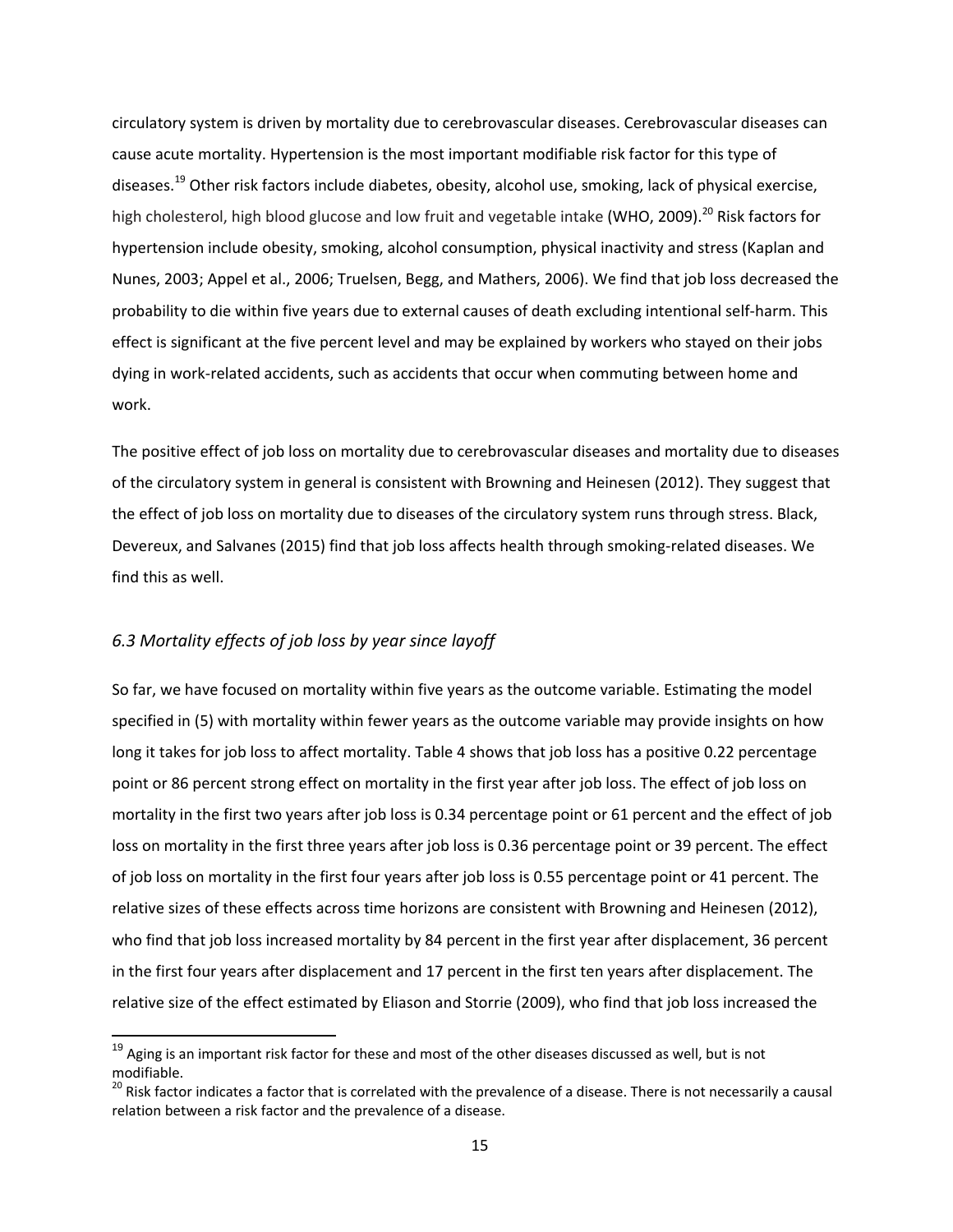circulatory system is driven by mortality due to cerebrovascular diseases. Cerebrovascular diseases can cause acute mortality. Hypertension is the most important modifiable risk factor for this type of diseases.<sup>19</sup> Other risk factors include diabetes, obesity, alcohol use, smoking, lack of physical exercise, high cholesterol, high blood glucose and low fruit and vegetable intake (WHO, 2009).<sup>20</sup> Risk factors for hypertension include obesity, smoking, alcohol consumption, physical inactivity and stress (Kaplan and Nunes, 2003; Appel et al., 2006; Truelsen, Begg, and Mathers, 2006). We find that job loss decreased the probability to die within five years due to external causes of death excluding intentional self‐harm. This effect is significant at the five percent level and may be explained by workers who stayed on their jobs dying in work‐related accidents, such as accidents that occur when commuting between home and work.

The positive effect of job loss on mortality due to cerebrovascular diseases and mortality due to diseases of the circulatory system in general is consistent with Browning and Heinesen (2012). They suggest that the effect of job loss on mortality due to diseases of the circulatory system runs through stress. Black, Devereux, and Salvanes (2015) find that job loss affects health through smoking‐related diseases. We find this as well.

#### *6.3 Mortality effects of job loss by year since layoff*

So far, we have focused on mortality within five years as the outcome variable. Estimating the model specified in (5) with mortality within fewer years as the outcome variable may provide insights on how long it takes for job loss to affect mortality. Table 4 shows that job loss has a positive 0.22 percentage point or 86 percent strong effect on mortality in the first year after job loss. The effect of job loss on mortality in the first two years after job loss is 0.34 percentage point or 61 percent and the effect of job loss on mortality in the first three years after job loss is 0.36 percentage point or 39 percent. The effect of job loss on mortality in the first four years after job loss is 0.55 percentage point or 41 percent. The relative sizes of these effects across time horizons are consistent with Browning and Heinesen (2012), who find that job loss increased mortality by 84 percent in the first year after displacement, 36 percent in the first four years after displacement and 17 percent in the first ten years after displacement. The relative size of the effect estimated by Eliason and Storrie (2009), who find that job loss increased the

<sup>&</sup>lt;sup>19</sup> Aging is an important risk factor for these and most of the other diseases discussed as well, but is not modifiable.

<sup>&</sup>lt;sup>20</sup> Risk factor indicates a factor that is correlated with the prevalence of a disease. There is not necessarily a causal relation between a risk factor and the prevalence of a disease.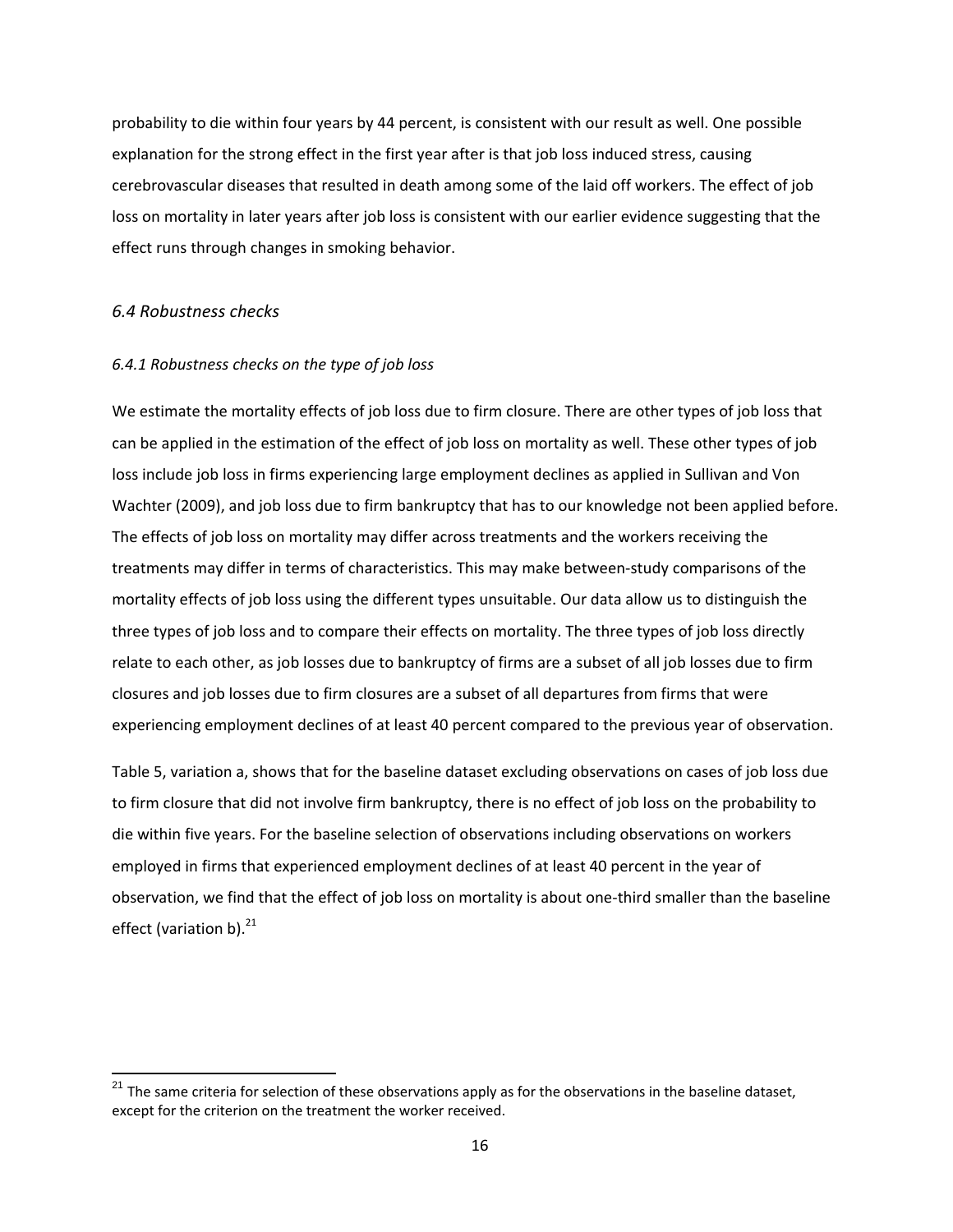probability to die within four years by 44 percent, is consistent with our result as well. One possible explanation for the strong effect in the first year after is that job loss induced stress, causing cerebrovascular diseases that resulted in death among some of the laid off workers. The effect of job loss on mortality in later years after job loss is consistent with our earlier evidence suggesting that the effect runs through changes in smoking behavior.

#### *6.4 Robustness checks*

#### *6.4.1 Robustness checks on the type of job loss*

We estimate the mortality effects of job loss due to firm closure. There are other types of job loss that can be applied in the estimation of the effect of job loss on mortality as well. These other types of job loss include job loss in firms experiencing large employment declines as applied in Sullivan and Von Wachter (2009), and job loss due to firm bankruptcy that has to our knowledge not been applied before. The effects of job loss on mortality may differ across treatments and the workers receiving the treatments may differ in terms of characteristics. This may make between‐study comparisons of the mortality effects of job loss using the different types unsuitable. Our data allow us to distinguish the three types of job loss and to compare their effects on mortality. The three types of job loss directly relate to each other, as job losses due to bankruptcy of firms are a subset of all job losses due to firm closures and job losses due to firm closures are a subset of all departures from firms that were experiencing employment declines of at least 40 percent compared to the previous year of observation.

Table 5, variation a, shows that for the baseline dataset excluding observations on cases of job loss due to firm closure that did not involve firm bankruptcy, there is no effect of job loss on the probability to die within five years. For the baseline selection of observations including observations on workers employed in firms that experienced employment declines of at least 40 percent in the year of observation, we find that the effect of job loss on mortality is about one‐third smaller than the baseline effect (variation b). $^{21}$ 

 $^{21}$  The same criteria for selection of these observations apply as for the observations in the baseline dataset, except for the criterion on the treatment the worker received.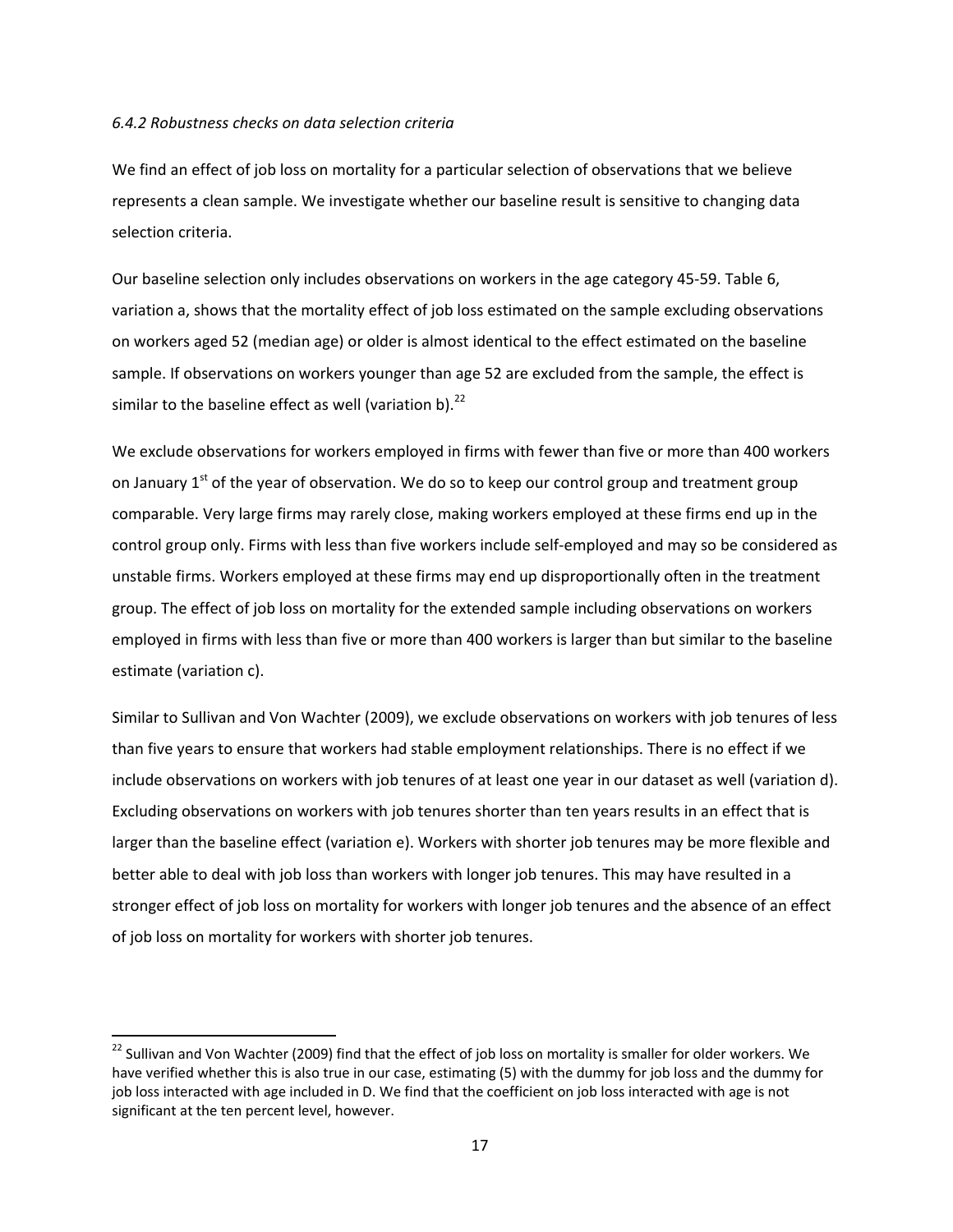#### *6.4.2 Robustness checks on data selection criteria*

We find an effect of job loss on mortality for a particular selection of observations that we believe represents a clean sample. We investigate whether our baseline result is sensitive to changing data selection criteria.

Our baseline selection only includes observations on workers in the age category 45‐59. Table 6, variation a, shows that the mortality effect of job loss estimated on the sample excluding observations on workers aged 52 (median age) or older is almost identical to the effect estimated on the baseline sample. If observations on workers younger than age 52 are excluded from the sample, the effect is similar to the baseline effect as well (variation b). $^{22}$ 

We exclude observations for workers employed in firms with fewer than five or more than 400 workers on January  $1<sup>st</sup>$  of the year of observation. We do so to keep our control group and treatment group comparable. Very large firms may rarely close, making workers employed at these firms end up in the control group only. Firms with less than five workers include self‐employed and may so be considered as unstable firms. Workers employed at these firms may end up disproportionally often in the treatment group. The effect of job loss on mortality for the extended sample including observations on workers employed in firms with less than five or more than 400 workers is larger than but similar to the baseline estimate (variation c).

Similar to Sullivan and Von Wachter (2009), we exclude observations on workers with job tenures of less than five years to ensure that workers had stable employment relationships. There is no effect if we include observations on workers with job tenures of at least one year in our dataset as well (variation d). Excluding observations on workers with job tenures shorter than ten years results in an effect that is larger than the baseline effect (variation e). Workers with shorter job tenures may be more flexible and better able to deal with job loss than workers with longer job tenures. This may have resulted in a stronger effect of job loss on mortality for workers with longer job tenures and the absence of an effect of job loss on mortality for workers with shorter job tenures.

<sup>&</sup>lt;sup>22</sup> Sullivan and Von Wachter (2009) find that the effect of job loss on mortality is smaller for older workers. We have verified whether this is also true in our case, estimating (5) with the dummy for job loss and the dummy for job loss interacted with age included in D. We find that the coefficient on job loss interacted with age is not significant at the ten percent level, however.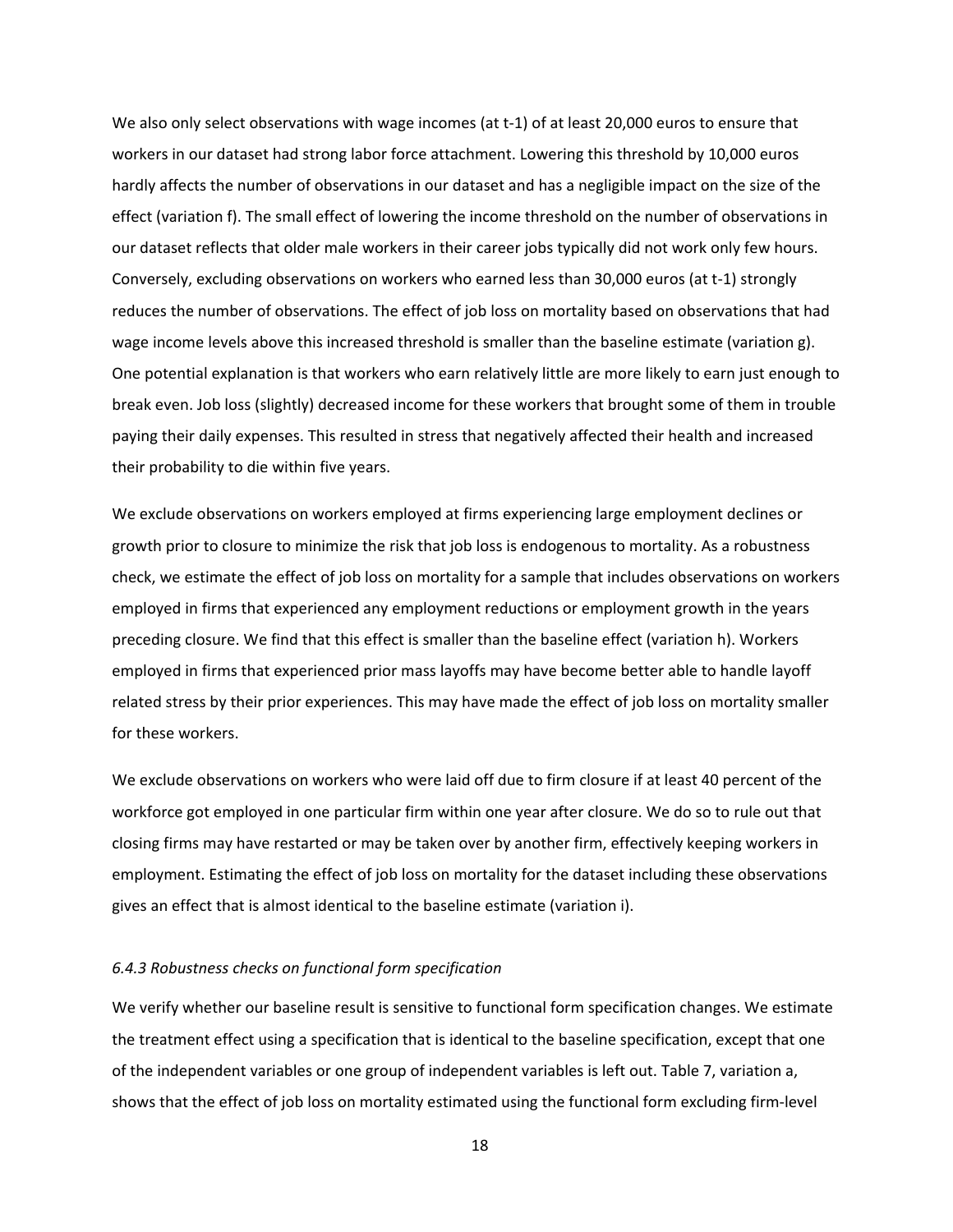We also only select observations with wage incomes (at t-1) of at least 20,000 euros to ensure that workers in our dataset had strong labor force attachment. Lowering this threshold by 10,000 euros hardly affects the number of observations in our dataset and has a negligible impact on the size of the effect (variation f). The small effect of lowering the income threshold on the number of observations in our dataset reflects that older male workers in their career jobs typically did not work only few hours. Conversely, excluding observations on workers who earned less than 30,000 euros (at t‐1) strongly reduces the number of observations. The effect of job loss on mortality based on observations that had wage income levels above this increased threshold is smaller than the baseline estimate (variation g). One potential explanation is that workers who earn relatively little are more likely to earn just enough to break even. Job loss (slightly) decreased income for these workers that brought some of them in trouble paying their daily expenses. This resulted in stress that negatively affected their health and increased their probability to die within five years.

We exclude observations on workers employed at firms experiencing large employment declines or growth prior to closure to minimize the risk that job loss is endogenous to mortality. As a robustness check, we estimate the effect of job loss on mortality for a sample that includes observations on workers employed in firms that experienced any employment reductions or employment growth in the years preceding closure. We find that this effect is smaller than the baseline effect (variation h). Workers employed in firms that experienced prior mass layoffs may have become better able to handle layoff related stress by their prior experiences. This may have made the effect of job loss on mortality smaller for these workers.

We exclude observations on workers who were laid off due to firm closure if at least 40 percent of the workforce got employed in one particular firm within one year after closure. We do so to rule out that closing firms may have restarted or may be taken over by another firm, effectively keeping workers in employment. Estimating the effect of job loss on mortality for the dataset including these observations gives an effect that is almost identical to the baseline estimate (variation i).

#### *6.4.3 Robustness checks on functional form specification*

We verify whether our baseline result is sensitive to functional form specification changes. We estimate the treatment effect using a specification that is identical to the baseline specification, except that one of the independent variables or one group of independent variables is left out. Table 7, variation a, shows that the effect of job loss on mortality estimated using the functional form excluding firm‐level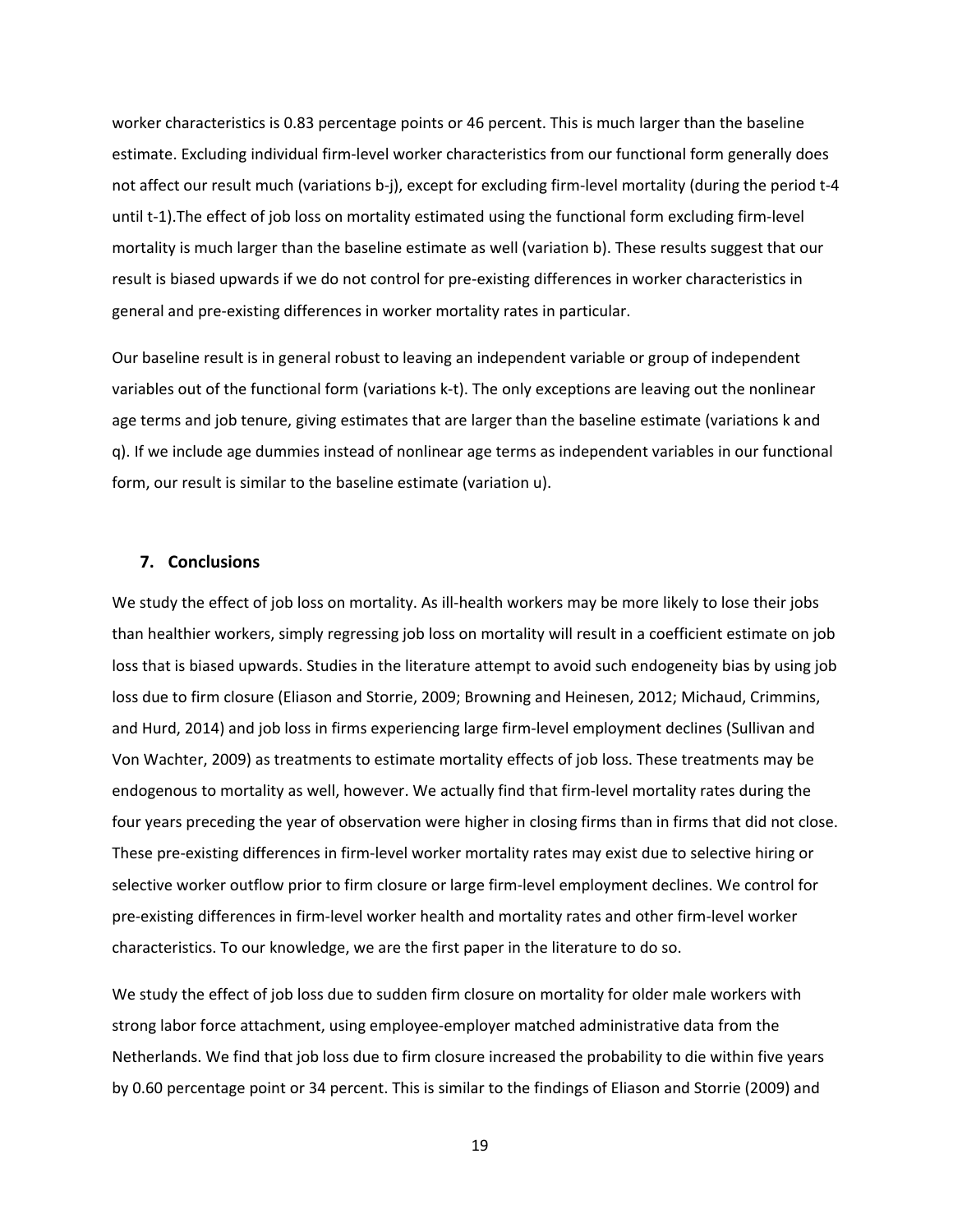worker characteristics is 0.83 percentage points or 46 percent. This is much larger than the baseline estimate. Excluding individual firm‐level worker characteristics from our functional form generally does not affect our result much (variations b-j), except for excluding firm-level mortality (during the period t-4 until t‐1).The effect of job loss on mortality estimated using the functional form excluding firm‐level mortality is much larger than the baseline estimate as well (variation b). These results suggest that our result is biased upwards if we do not control for pre‐existing differences in worker characteristics in general and pre‐existing differences in worker mortality rates in particular.

Our baseline result is in general robust to leaving an independent variable or group of independent variables out of the functional form (variations k‐t). The only exceptions are leaving out the nonlinear age terms and job tenure, giving estimates that are larger than the baseline estimate (variations k and q). If we include age dummies instead of nonlinear age terms as independent variables in our functional form, our result is similar to the baseline estimate (variation u).

#### **7. Conclusions**

We study the effect of job loss on mortality. As ill-health workers may be more likely to lose their jobs than healthier workers, simply regressing job loss on mortality will result in a coefficient estimate on job loss that is biased upwards. Studies in the literature attempt to avoid such endogeneity bias by using job loss due to firm closure (Eliason and Storrie, 2009; Browning and Heinesen, 2012; Michaud, Crimmins, and Hurd, 2014) and job loss in firms experiencing large firm-level employment declines (Sullivan and Von Wachter, 2009) as treatments to estimate mortality effects of job loss. These treatments may be endogenous to mortality as well, however. We actually find that firm‐level mortality rates during the four years preceding the year of observation were higher in closing firms than in firms that did not close. These pre‐existing differences in firm‐level worker mortality rates may exist due to selective hiring or selective worker outflow prior to firm closure or large firm‐level employment declines. We control for pre‐existing differences in firm‐level worker health and mortality rates and other firm‐level worker characteristics. To our knowledge, we are the first paper in the literature to do so.

We study the effect of job loss due to sudden firm closure on mortality for older male workers with strong labor force attachment, using employee‐employer matched administrative data from the Netherlands. We find that job loss due to firm closure increased the probability to die within five years by 0.60 percentage point or 34 percent. This is similar to the findings of Eliason and Storrie (2009) and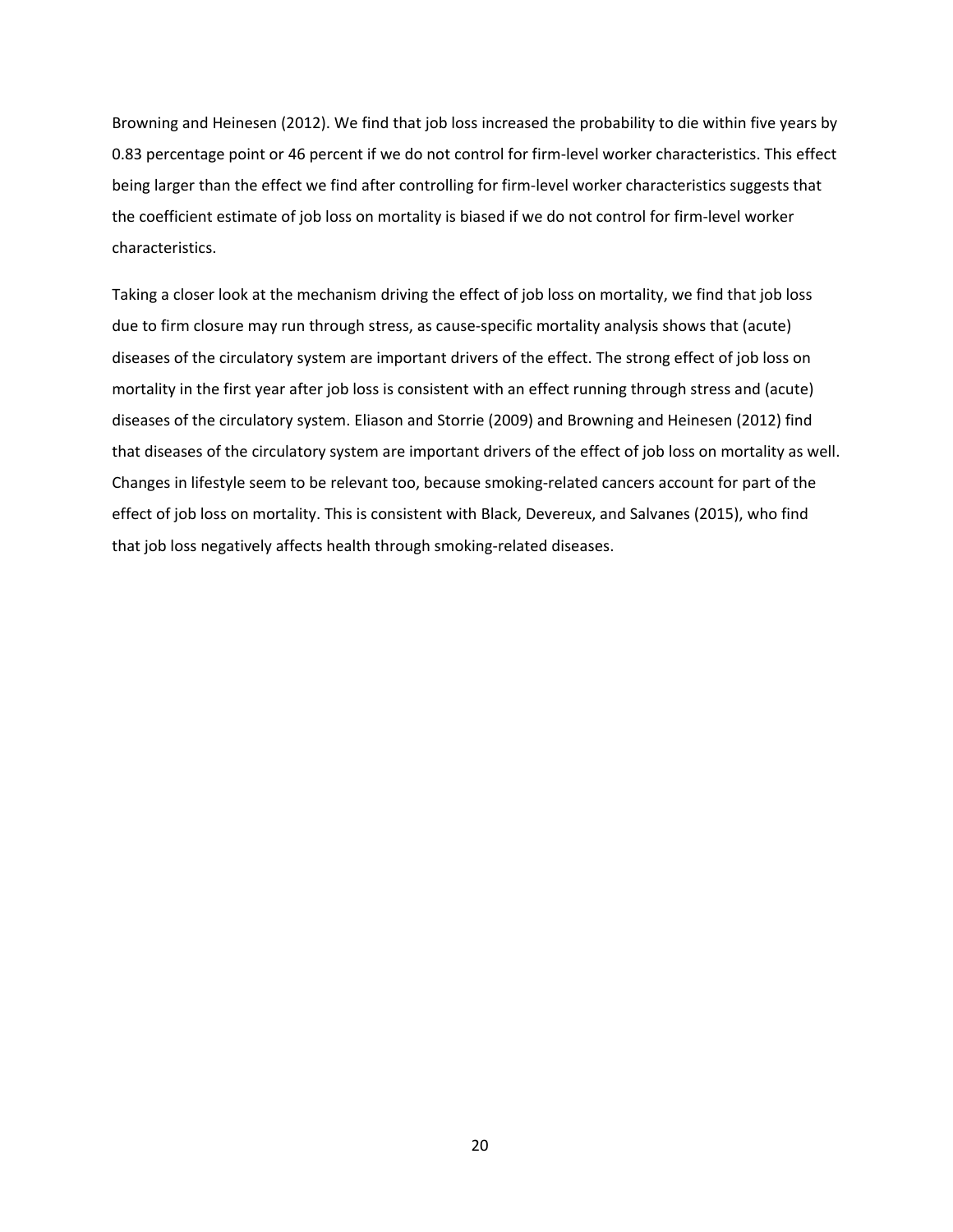Browning and Heinesen (2012). We find that job loss increased the probability to die within five years by 0.83 percentage point or 46 percent if we do not control for firm-level worker characteristics. This effect being larger than the effect we find after controlling for firm‐level worker characteristics suggests that the coefficient estimate of job loss on mortality is biased if we do not control for firm‐level worker characteristics.

Taking a closer look at the mechanism driving the effect of job loss on mortality, we find that job loss due to firm closure may run through stress, as cause‐specific mortality analysis shows that (acute) diseases of the circulatory system are important drivers of the effect. The strong effect of job loss on mortality in the first year after job loss is consistent with an effect running through stress and (acute) diseases of the circulatory system. Eliason and Storrie (2009) and Browning and Heinesen (2012) find that diseases of the circulatory system are important drivers of the effect of job loss on mortality as well. Changes in lifestyle seem to be relevant too, because smoking‐related cancers account for part of the effect of job loss on mortality. This is consistent with Black, Devereux, and Salvanes (2015), who find that job loss negatively affects health through smoking‐related diseases.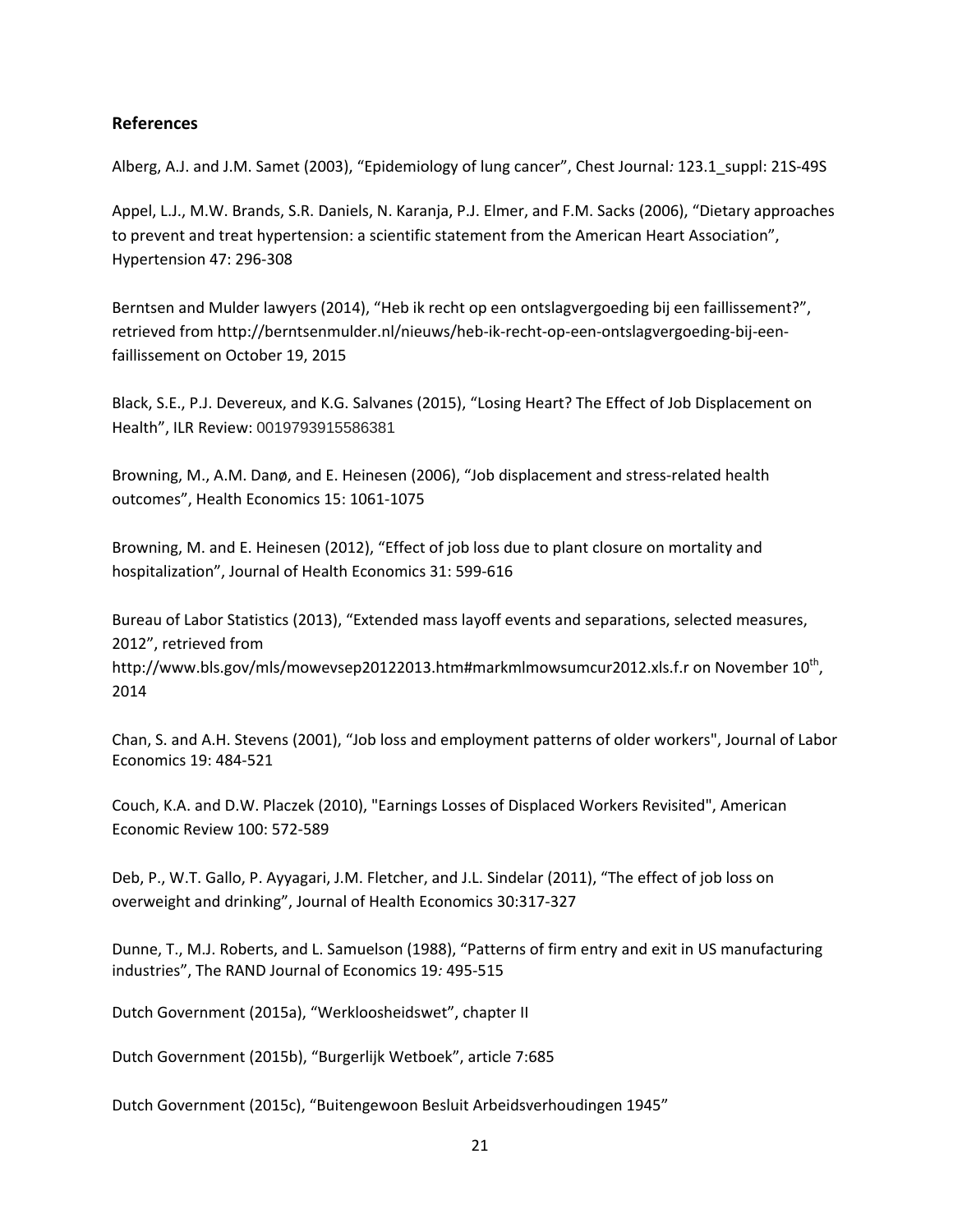#### **References**

Alberg, A.J. and J.M. Samet (2003), "Epidemiology of lung cancer", Chest Journal*:* 123.1\_suppl: 21S‐49S

Appel, L.J., M.W. Brands, S.R. Daniels, N. Karanja, P.J. Elmer, and F.M. Sacks (2006), "Dietary approaches to prevent and treat hypertension: a scientific statement from the American Heart Association", Hypertension 47: 296‐308

Berntsen and Mulder lawyers (2014), "Heb ik recht op een ontslagvergoeding bij een faillissement?", retrieved from http://berntsenmulder.nl/nieuws/heb-ik-recht-op-een-ontslagvergoeding-bij-eenfaillissement on October 19, 2015

Black, S.E., P.J. Devereux, and K.G. Salvanes (2015), "Losing Heart? The Effect of Job Displacement on Health", ILR Review: 0019793915586381

Browning, M., A.M. Danø, and E. Heinesen (2006), "Job displacement and stress-related health outcomes", Health Economics 15: 1061‐1075

Browning, M. and E. Heinesen (2012), "Effect of job loss due to plant closure on mortality and hospitalization", Journal of Health Economics 31: 599‐616

Bureau of Labor Statistics (2013), "Extended mass layoff events and separations, selected measures, 2012", retrieved from

http://www.bls.gov/mls/mowevsep20122013.htm#markmlmowsumcur2012.xls.f.r on November 10<sup>th</sup>, 2014

Chan, S. and A.H. Stevens (2001), "Job loss and employment patterns of older workers", Journal of Labor Economics 19: 484‐521

Couch, K.A. and D.W. Placzek (2010), "Earnings Losses of Displaced Workers Revisited", American Economic Review 100: 572‐589

Deb, P., W.T. Gallo, P. Ayyagari, J.M. Fletcher, and J.L. Sindelar (2011), "The effect of job loss on overweight and drinking", Journal of Health Economics 30:317‐327

Dunne, T., M.J. Roberts, and L. Samuelson (1988), "Patterns of firm entry and exit in US manufacturing industries", The RAND Journal of Economics 19*:* 495‐515

Dutch Government (2015a), "Werkloosheidswet", chapter II

Dutch Government (2015b), "Burgerlijk Wetboek", article 7:685

Dutch Government (2015c), "Buitengewoon Besluit Arbeidsverhoudingen 1945"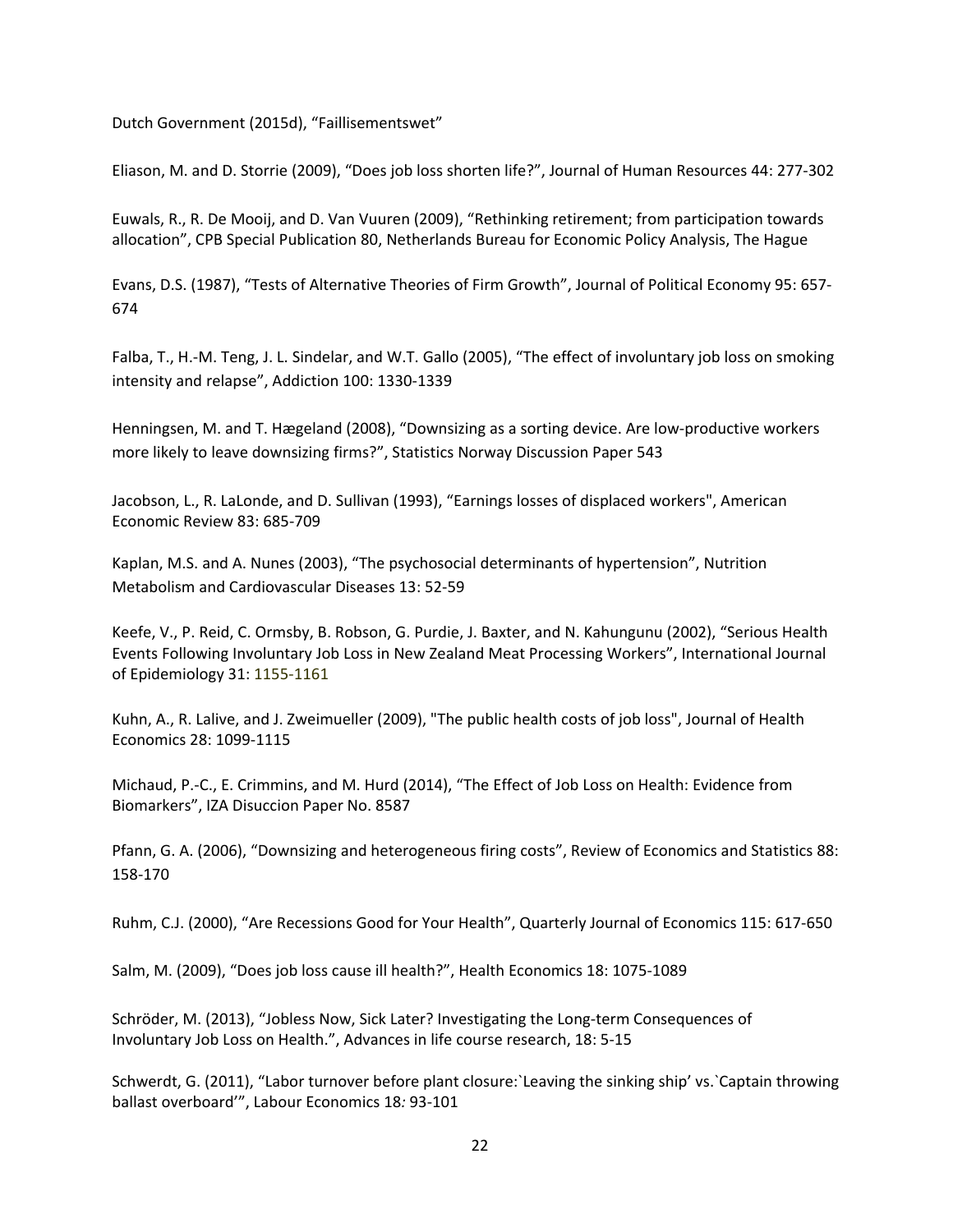Dutch Government (2015d), "Faillisementswet"

Eliason, M. and D. Storrie (2009), "Does job loss shorten life?", Journal of Human Resources 44: 277‐302

Euwals, R., R. De Mooij, and D. Van Vuuren (2009), "Rethinking retirement; from participation towards allocation", CPB Special Publication 80, Netherlands Bureau for Economic Policy Analysis, The Hague

Evans, D.S. (1987), "Tests of Alternative Theories of Firm Growth", Journal of Political Economy 95: 657‐ 674

Falba, T., H.‐M. Teng, J. L. Sindelar, and W.T. Gallo (2005), "The effect of involuntary job loss on smoking intensity and relapse", Addiction 100: 1330‐1339

Henningsen, M. and T. Hægeland (2008), "Downsizing as a sorting device. Are low‐productive workers more likely to leave downsizing firms?", Statistics Norway Discussion Paper 543

Jacobson, L., R. LaLonde, and D. Sullivan (1993), "Earnings losses of displaced workers", American Economic Review 83: 685‐709

Kaplan, M.S. and A. Nunes (2003), "The psychosocial determinants of hypertension", Nutrition Metabolism and Cardiovascular Diseases 13: 52‐59

Keefe, V., P. Reid, C. Ormsby, B. Robson, G. Purdie, J. Baxter, and N. Kahungunu (2002), "Serious Health Events Following Involuntary Job Loss in New Zealand Meat Processing Workers", International Journal of Epidemiology 31: 1155‐1161

Kuhn, A., R. Lalive, and J. Zweimueller (2009), "The public health costs of job loss", Journal of Health Economics 28: 1099‐1115

Michaud, P.‐C., E. Crimmins, and M. Hurd (2014), "The Effect of Job Loss on Health: Evidence from Biomarkers", IZA Disuccion Paper No. 8587

Pfann, G. A. (2006), "Downsizing and heterogeneous firing costs", Review of Economics and Statistics 88: 158‐170

Ruhm, C.J. (2000), "Are Recessions Good for Your Health", Quarterly Journal of Economics 115: 617‐650

Salm, M. (2009), "Does job loss cause ill health?", Health Economics 18: 1075‐1089

Schröder, M. (2013), "Jobless Now, Sick Later? Investigating the Long-term Consequences of Involuntary Job Loss on Health.", Advances in life course research, 18: 5‐15

Schwerdt, G. (2011), "Labor turnover before plant closure:`Leaving the sinking ship' vs.`Captain throwing ballast overboard'", Labour Economics 18*:* 93‐101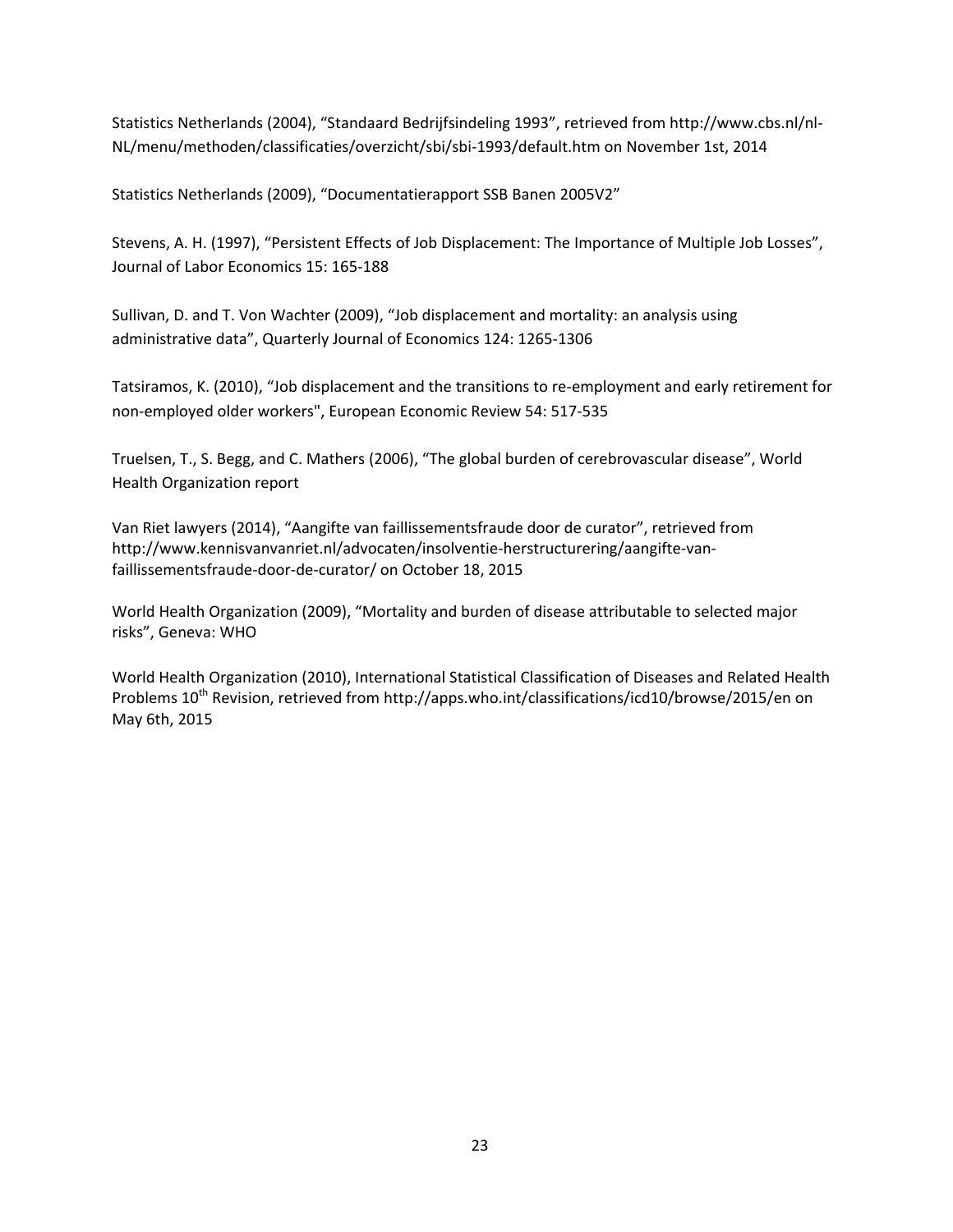Statistics Netherlands (2004), "Standaard Bedrijfsindeling 1993", retrieved from http://www.cbs.nl/nl‐ NL/menu/methoden/classificaties/overzicht/sbi/sbi‐1993/default.htm on November 1st, 2014

Statistics Netherlands (2009), "Documentatierapport SSB Banen 2005V2"

Stevens, A. H. (1997), "Persistent Effects of Job Displacement: The Importance of Multiple Job Losses", Journal of Labor Economics 15: 165‐188

Sullivan, D. and T. Von Wachter (2009), "Job displacement and mortality: an analysis using administrative data", Quarterly Journal of Economics 124: 1265‐1306

Tatsiramos, K. (2010), "Job displacement and the transitions to re‐employment and early retirement for non‐employed older workers", European Economic Review 54: 517‐535

Truelsen, T., S. Begg, and C. Mathers (2006), "The global burden of cerebrovascular disease", World Health Organization report

Van Riet lawyers (2014), "Aangifte van faillissementsfraude door de curator", retrieved from http://www.kennisvanvanriet.nl/advocaten/insolventie‐herstructurering/aangifte‐van‐ faillissementsfraude‐door‐de‐curator/ on October 18, 2015

World Health Organization (2009), "Mortality and burden of disease attributable to selected major risks", Geneva: WHO

World Health Organization (2010), International Statistical Classification of Diseases and Related Health Problems 10<sup>th</sup> Revision, retrieved from http://apps.who.int/classifications/icd10/browse/2015/en on May 6th, 2015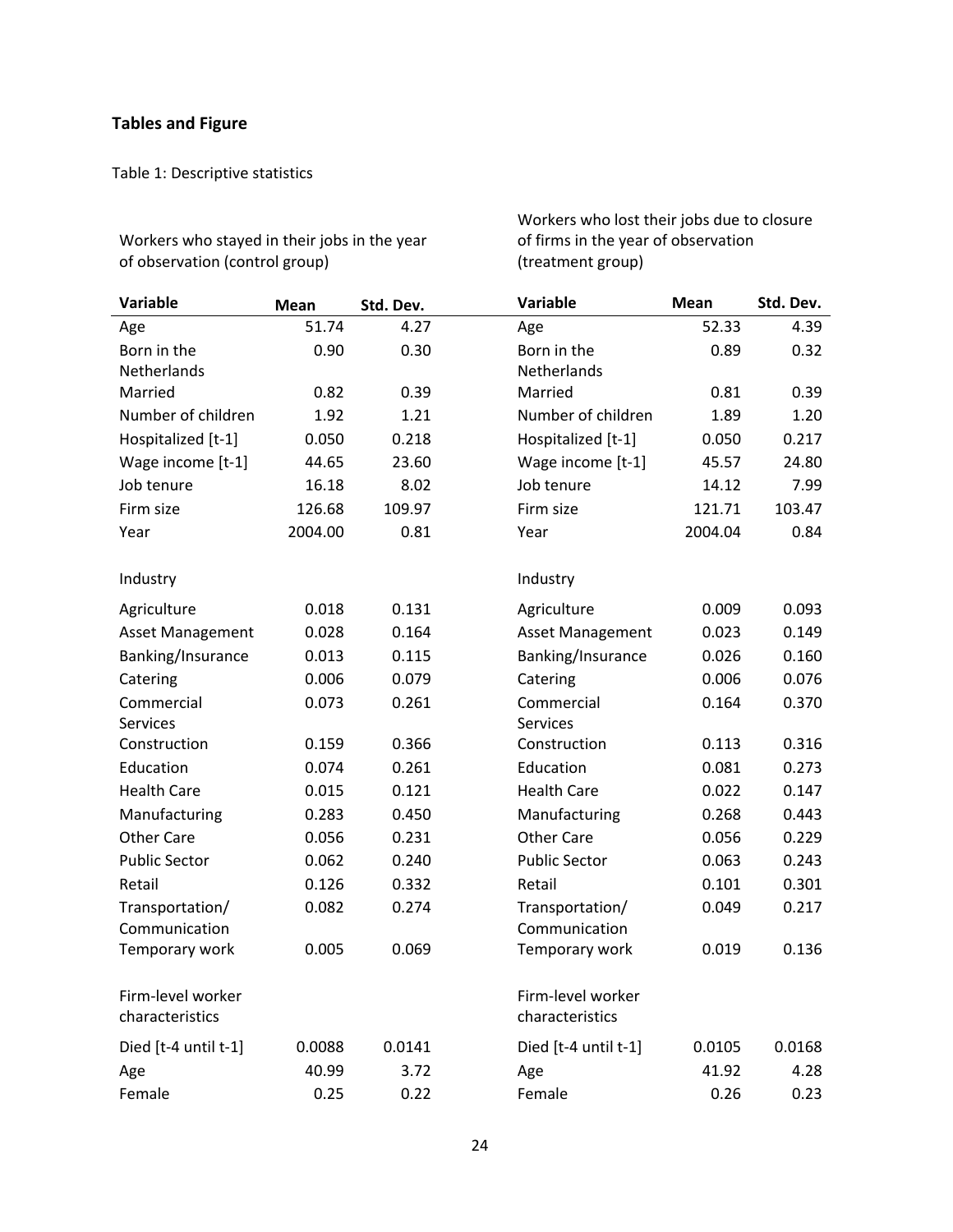### **Tables and Figure**

Table 1: Descriptive statistics

Workers who stayed in their jobs in the year of observation (control group)

Workers who lost their jobs due to closure of firms in the year of observation (treatment group)

| Variable                | Mean    | Std. Dev. | Variable             | Mean    | Std. Dev. |
|-------------------------|---------|-----------|----------------------|---------|-----------|
| Age                     | 51.74   | 4.27      | Age                  | 52.33   | 4.39      |
| Born in the             | 0.90    | 0.30      | Born in the          | 0.89    | 0.32      |
| Netherlands             |         |           | Netherlands          |         |           |
| Married                 | 0.82    | 0.39      | Married              | 0.81    | 0.39      |
| Number of children      | 1.92    | 1.21      | Number of children   | 1.89    | 1.20      |
| Hospitalized [t-1]      | 0.050   | 0.218     | Hospitalized [t-1]   | 0.050   | 0.217     |
| Wage income [t-1]       | 44.65   | 23.60     | Wage income [t-1]    | 45.57   | 24.80     |
| Job tenure              | 16.18   | 8.02      | Job tenure           | 14.12   | 7.99      |
| Firm size               | 126.68  | 109.97    | Firm size            | 121.71  | 103.47    |
| Year                    | 2004.00 | 0.81      | Year                 | 2004.04 | 0.84      |
| Industry                |         |           | Industry             |         |           |
| Agriculture             | 0.018   | 0.131     | Agriculture          | 0.009   | 0.093     |
| <b>Asset Management</b> | 0.028   | 0.164     | Asset Management     | 0.023   | 0.149     |
| Banking/Insurance       | 0.013   | 0.115     | Banking/Insurance    | 0.026   | 0.160     |
| Catering                | 0.006   | 0.079     | Catering             | 0.006   | 0.076     |
| Commercial              | 0.073   | 0.261     | Commercial           | 0.164   | 0.370     |
| <b>Services</b>         |         |           | <b>Services</b>      |         |           |
| Construction            | 0.159   | 0.366     | Construction         | 0.113   | 0.316     |
| Education               | 0.074   | 0.261     | Education            | 0.081   | 0.273     |
| <b>Health Care</b>      | 0.015   | 0.121     | <b>Health Care</b>   | 0.022   | 0.147     |
| Manufacturing           | 0.283   | 0.450     | Manufacturing        | 0.268   | 0.443     |
| <b>Other Care</b>       | 0.056   | 0.231     | <b>Other Care</b>    | 0.056   | 0.229     |
| <b>Public Sector</b>    | 0.062   | 0.240     | <b>Public Sector</b> | 0.063   | 0.243     |
| Retail                  | 0.126   | 0.332     | Retail               | 0.101   | 0.301     |
| Transportation/         | 0.082   | 0.274     | Transportation/      | 0.049   | 0.217     |
| Communication           |         |           | Communication        |         |           |
| Temporary work          | 0.005   | 0.069     | Temporary work       | 0.019   | 0.136     |
| Firm-level worker       |         |           | Firm-level worker    |         |           |
| characteristics         |         |           | characteristics      |         |           |
| Died [t-4 until t-1]    | 0.0088  | 0.0141    | Died [t-4 until t-1] | 0.0105  | 0.0168    |
| Age                     | 40.99   | 3.72      | Age                  | 41.92   | 4.28      |
| Female                  | 0.25    | 0.22      | Female               | 0.26    | 0.23      |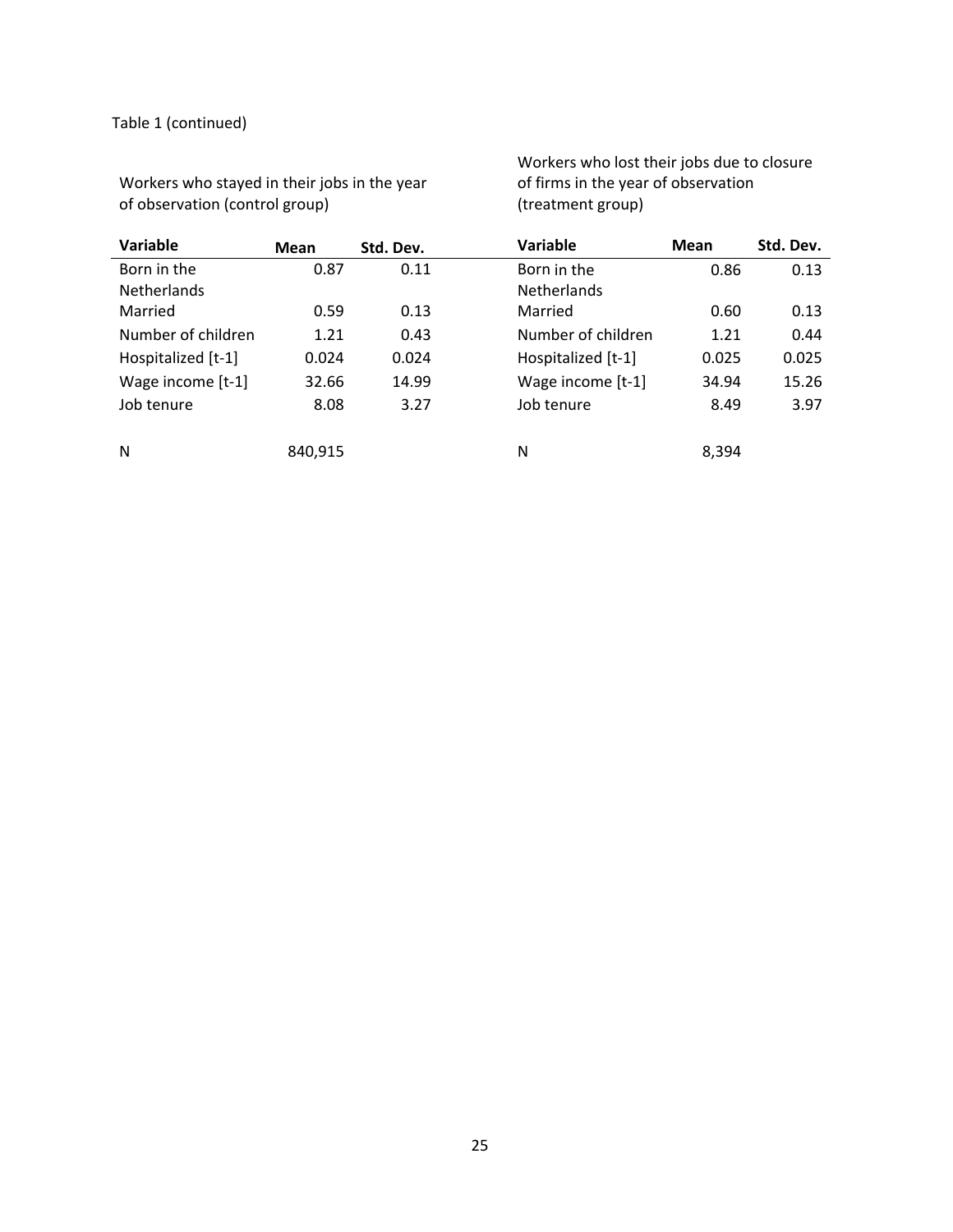Table 1 (continued)

Workers who stayed in their jobs in the year of observation (control group)

Workers who lost their jobs due to closure of firms in the year of observation (treatment group)

| Variable           | Mean    | Std. Dev. | Variable           | Mean  | Std. Dev. |
|--------------------|---------|-----------|--------------------|-------|-----------|
| Born in the        | 0.87    | 0.11      | Born in the        | 0.86  | 0.13      |
| <b>Netherlands</b> |         |           | <b>Netherlands</b> |       |           |
| Married            | 0.59    | 0.13      | Married            | 0.60  | 0.13      |
| Number of children | 1.21    | 0.43      | Number of children | 1.21  | 0.44      |
| Hospitalized [t-1] | 0.024   | 0.024     | Hospitalized [t-1] | 0.025 | 0.025     |
| Wage income [t-1]  | 32.66   | 14.99     | Wage income [t-1]  | 34.94 | 15.26     |
| Job tenure         | 8.08    | 3.27      | Job tenure         | 8.49  | 3.97      |
| N                  | 840,915 |           | N                  | 8,394 |           |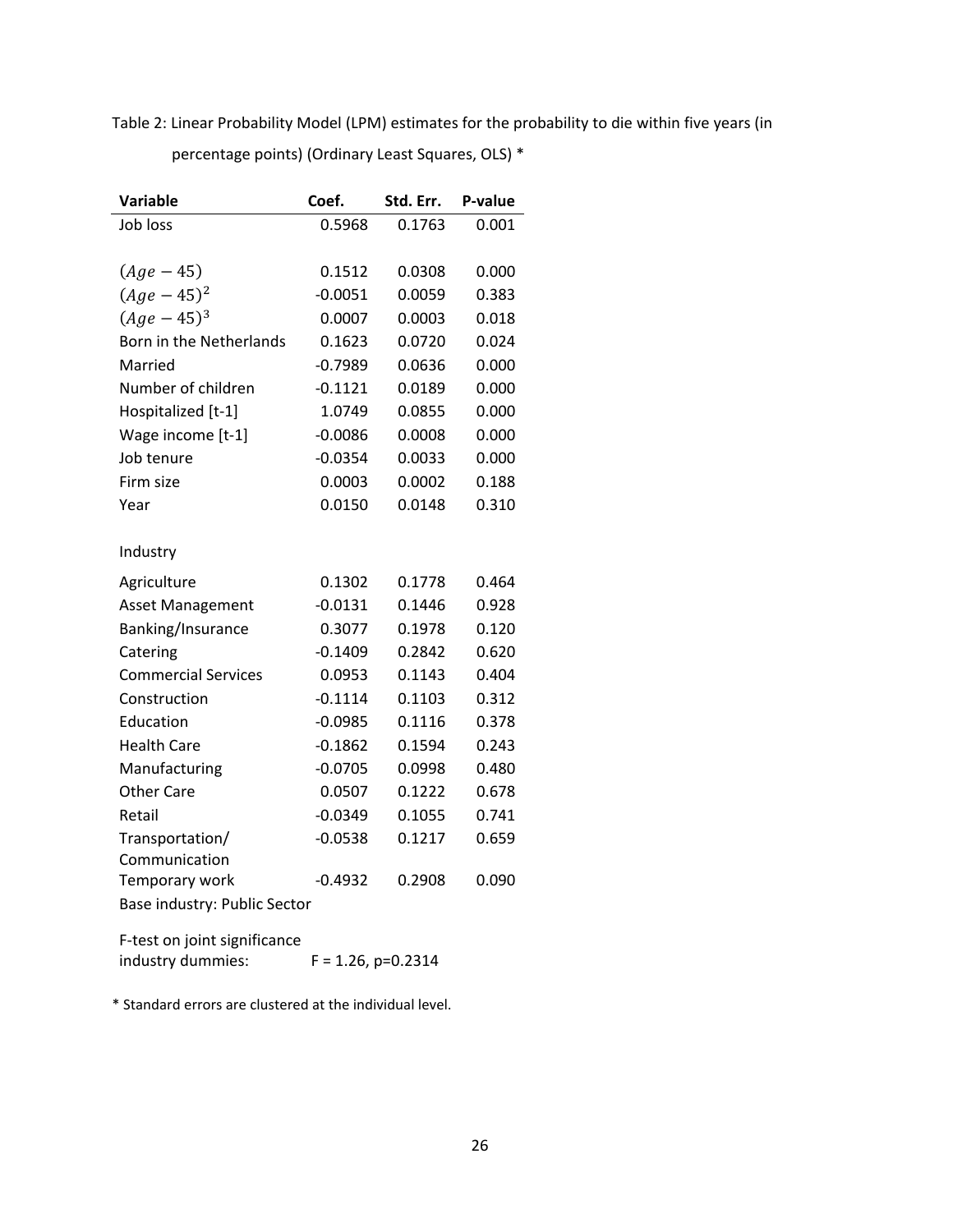Table 2: Linear Probability Model (LPM) estimates for the probability to die within five years (in

percentage points) (Ordinary Least Squares, OLS) \*

| Variable                     | Coef.     | Std. Err. | P-value |
|------------------------------|-----------|-----------|---------|
| Job loss                     | 0.5968    | 0.1763    | 0.001   |
|                              |           |           |         |
| $(Age - 45)$                 | 0.1512    | 0.0308    | 0.000   |
| $(Age - 45)^2$               | $-0.0051$ | 0.0059    | 0.383   |
| $(Age - 45)^3$               | 0.0007    | 0.0003    | 0.018   |
| Born in the Netherlands      | 0.1623    | 0.0720    | 0.024   |
| Married                      | $-0.7989$ | 0.0636    | 0.000   |
| Number of children           | $-0.1121$ | 0.0189    | 0.000   |
| Hospitalized [t-1]           | 1.0749    | 0.0855    | 0.000   |
| Wage income [t-1]            | $-0.0086$ | 0.0008    | 0.000   |
| Job tenure                   | $-0.0354$ | 0.0033    | 0.000   |
| Firm size                    | 0.0003    | 0.0002    | 0.188   |
| Year                         | 0.0150    | 0.0148    | 0.310   |
|                              |           |           |         |
| Industry                     |           |           |         |
| Agriculture                  | 0.1302    | 0.1778    | 0.464   |
| Asset Management             | $-0.0131$ | 0.1446    | 0.928   |
| Banking/Insurance            | 0.3077    | 0.1978    | 0.120   |
| Catering                     | $-0.1409$ | 0.2842    | 0.620   |
| <b>Commercial Services</b>   | 0.0953    | 0.1143    | 0.404   |
| Construction                 | $-0.1114$ | 0.1103    | 0.312   |
| Education                    | $-0.0985$ | 0.1116    | 0.378   |
| <b>Health Care</b>           | $-0.1862$ | 0.1594    | 0.243   |
| Manufacturing                | $-0.0705$ | 0.0998    | 0.480   |
| <b>Other Care</b>            | 0.0507    | 0.1222    | 0.678   |
| Retail                       | $-0.0349$ | 0.1055    | 0.741   |
| Transportation/              | $-0.0538$ | 0.1217    | 0.659   |
| Communication                |           |           |         |
| Temporary work               | $-0.4932$ | 0.2908    | 0.090   |
| Base industry: Public Sector |           |           |         |
| 青い しょうしょう いきょうしょうきょう 大野の     |           |           |         |

F-test on joint significance<br>industry dummies:  $F = 1.26$ , p=0.2314

\* Standard errors are clustered at the individual level.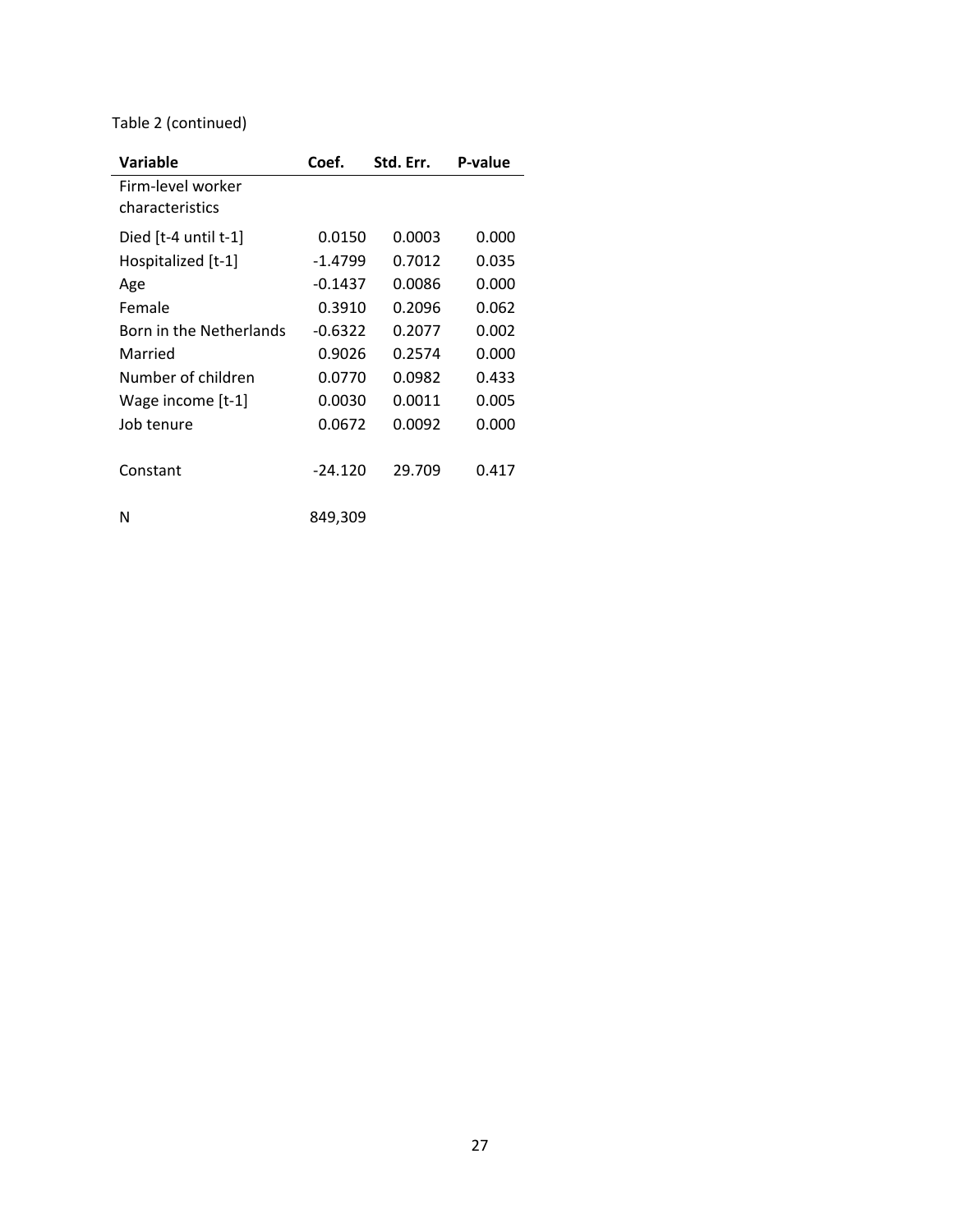Table 2 (continued)

| Variable                             | Coef.     | Std. Err. | P-value |
|--------------------------------------|-----------|-----------|---------|
| Firm-level worker<br>characteristics |           |           |         |
| Died $[t-4$ until $t-1]$             | 0.0150    | 0.0003    | 0.000   |
| Hospitalized [t-1]                   | $-1.4799$ | 0.7012    | 0.035   |
| Age                                  | $-0.1437$ | 0.0086    | 0.000   |
| Female                               | 0.3910    | 0.2096    | 0.062   |
| Born in the Netherlands              | $-0.6322$ | 0.2077    | 0.002   |
| Married                              | 0.9026    | 0.2574    | 0.000   |
| Number of children                   | 0.0770    | 0.0982    | 0.433   |
| Wage income [t-1]                    | 0.0030    | 0.0011    | 0.005   |
| Job tenure                           | 0.0672    | 0.0092    | 0.000   |
| Constant                             | $-24.120$ | 29.709    | 0.417   |
| N                                    | 849,309   |           |         |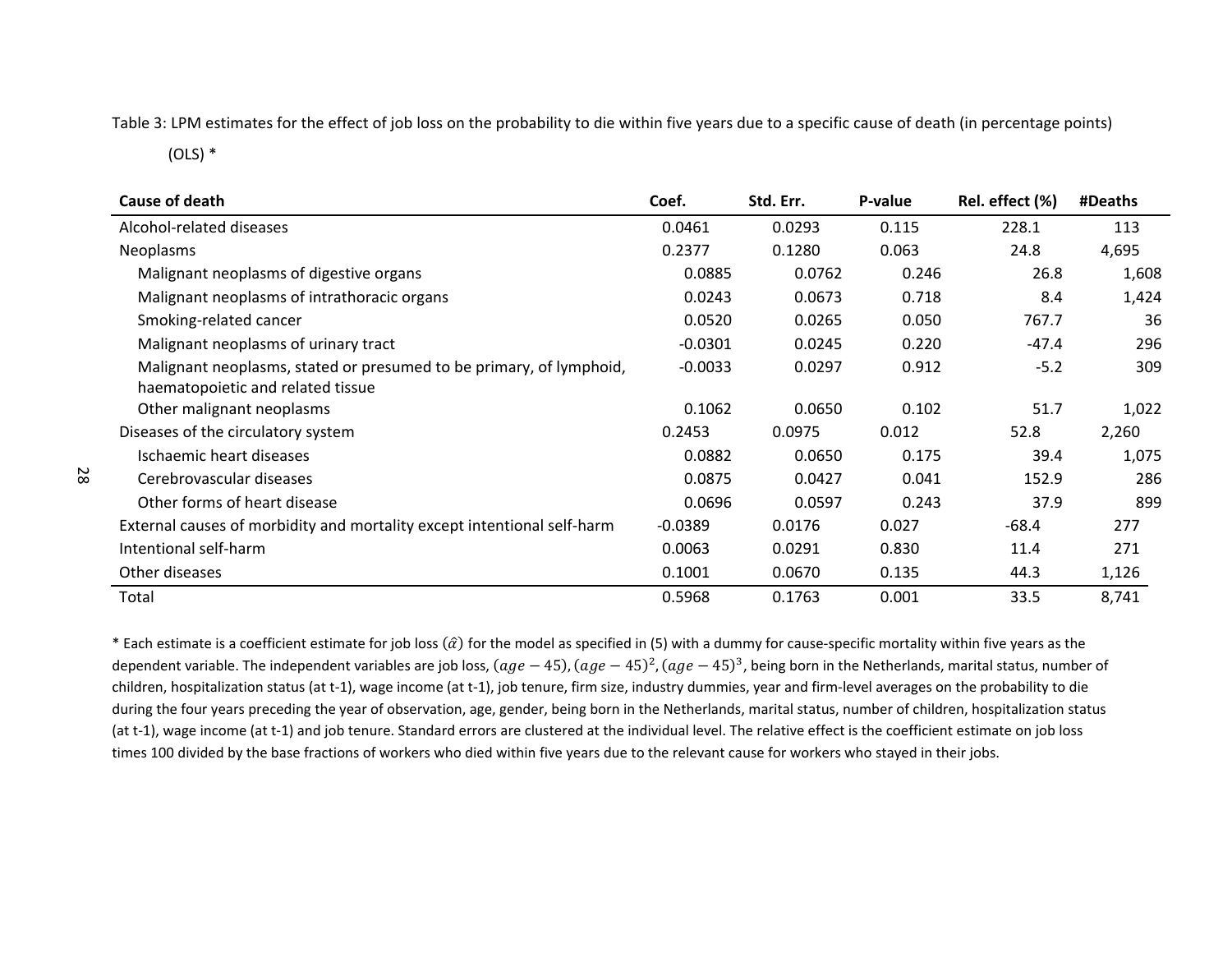Table 3: LPM estimates for the effect of job loss on the probability to die within five years due to <sup>a</sup> specific cause of death (in percentage points)

 $(OLS)$   $*$ 

| Cause of death                                                                                           | Coef.     | Std. Err. | P-value | Rel. effect (%) | #Deaths |
|----------------------------------------------------------------------------------------------------------|-----------|-----------|---------|-----------------|---------|
| Alcohol-related diseases                                                                                 | 0.0461    | 0.0293    | 0.115   | 228.1           | 113     |
| Neoplasms                                                                                                | 0.2377    | 0.1280    | 0.063   | 24.8            | 4,695   |
| Malignant neoplasms of digestive organs                                                                  | 0.0885    | 0.0762    | 0.246   | 26.8            | 1,608   |
| Malignant neoplasms of intrathoracic organs                                                              | 0.0243    | 0.0673    | 0.718   | 8.4             | 1,424   |
| Smoking-related cancer                                                                                   | 0.0520    | 0.0265    | 0.050   | 767.7           | 36      |
| Malignant neoplasms of urinary tract                                                                     | $-0.0301$ | 0.0245    | 0.220   | $-47.4$         | 296     |
| Malignant neoplasms, stated or presumed to be primary, of lymphoid,<br>haematopoietic and related tissue | $-0.0033$ | 0.0297    | 0.912   | $-5.2$          | 309     |
| Other malignant neoplasms                                                                                | 0.1062    | 0.0650    | 0.102   | 51.7            | 1,022   |
| Diseases of the circulatory system                                                                       | 0.2453    | 0.0975    | 0.012   | 52.8            | 2,260   |
| Ischaemic heart diseases                                                                                 | 0.0882    | 0.0650    | 0.175   | 39.4            | 1,075   |
| Cerebrovascular diseases                                                                                 | 0.0875    | 0.0427    | 0.041   | 152.9           | 286     |
| Other forms of heart disease                                                                             | 0.0696    | 0.0597    | 0.243   | 37.9            | 899     |
| External causes of morbidity and mortality except intentional self-harm                                  | $-0.0389$ | 0.0176    | 0.027   | $-68.4$         | 277     |
| Intentional self-harm                                                                                    | 0.0063    | 0.0291    | 0.830   | 11.4            | 271     |
| Other diseases                                                                                           | 0.1001    | 0.0670    | 0.135   | 44.3            | 1,126   |
| Total                                                                                                    | 0.5968    | 0.1763    | 0.001   | 33.5            | 8,741   |

\* Each estimate is a coefficient estimate for job loss  $(\hat{a})$  for the model as specified in (5) with a dummy for cause-specific mortality within five years as the dependent variable. The independent variables are job loss,  $(age-45)$ ,  $(age-45)^2$ ,  $(age-45)^3$ , being born in the Netherlands, marital status, number of children, hospitalization status (at t-1), wage income (at t-1), job tenure, firm size, industry dummies, year and firm-level averages on the probability to die during the four years preceding the year of observation, age, gender, being born in the Netherlands, marital status, number of children, hospitalization status (at <sup>t</sup>‐1), wage income (at <sup>t</sup>‐1) and job tenure. Standard errors are clustered at the individual level. The relative effect is the coefficient estimate on job loss times 100 divided by the base fractions of workers who died within five years due to the relevant cause for workers who stayed in their jobs.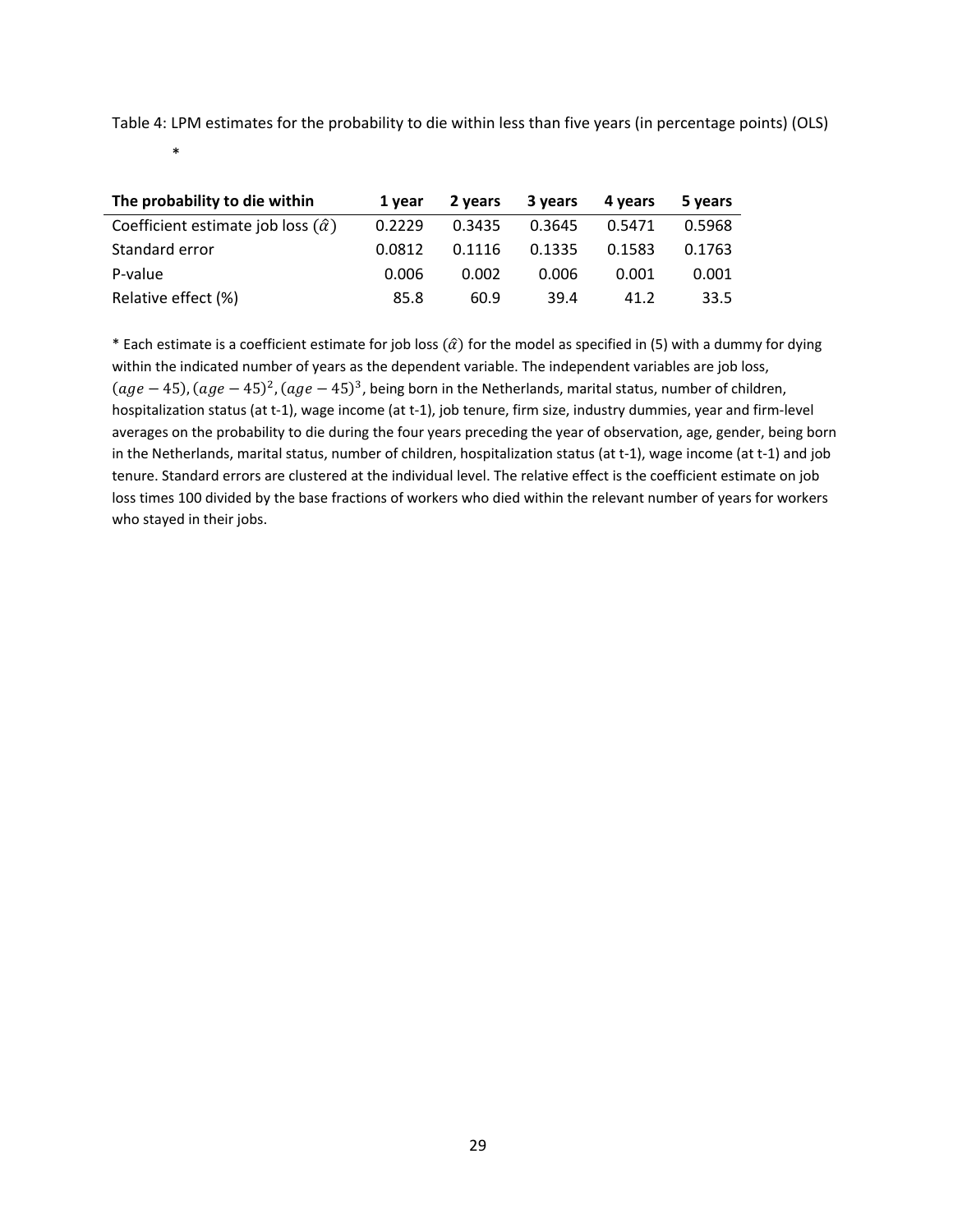Table 4: LPM estimates for the probability to die within less than five years (in percentage points) (OLS)  $\star$ 

| The probability to die within                  | 1 year | 2 years | 3 years | 4 years | 5 years |
|------------------------------------------------|--------|---------|---------|---------|---------|
| Coefficient estimate job loss $(\hat{\alpha})$ | 0.2229 | 0.3435  | 0.3645  | 0.5471  | 0.5968  |
| Standard error                                 | 0.0812 | 0.1116  | 0.1335  | 0.1583  | 0.1763  |
| P-value                                        | 0.006  | 0.002   | 0.006   | 0.001   | 0.001   |
| Relative effect (%)                            | 85.8   | 60.9    | 39.4    | 41.2    | 33.5    |

\* Each estimate is a coefficient estimate for job loss  $(\hat{a})$  for the model as specified in (5) with a dummy for dying within the indicated number of years as the dependent variable. The independent variables are job loss,  $(age - 45)$ ,  $(age - 45)^2$ ,  $(age - 45)^3$ , being born in the Netherlands, marital status, number of children, hospitalization status (at t-1), wage income (at t-1), job tenure, firm size, industry dummies, year and firm-level averages on the probability to die during the four years preceding the year of observation, age, gender, being born in the Netherlands, marital status, number of children, hospitalization status (at t‐1), wage income (at t‐1) and job tenure. Standard errors are clustered at the individual level. The relative effect is the coefficient estimate on job loss times 100 divided by the base fractions of workers who died within the relevant number of years for workers who stayed in their jobs.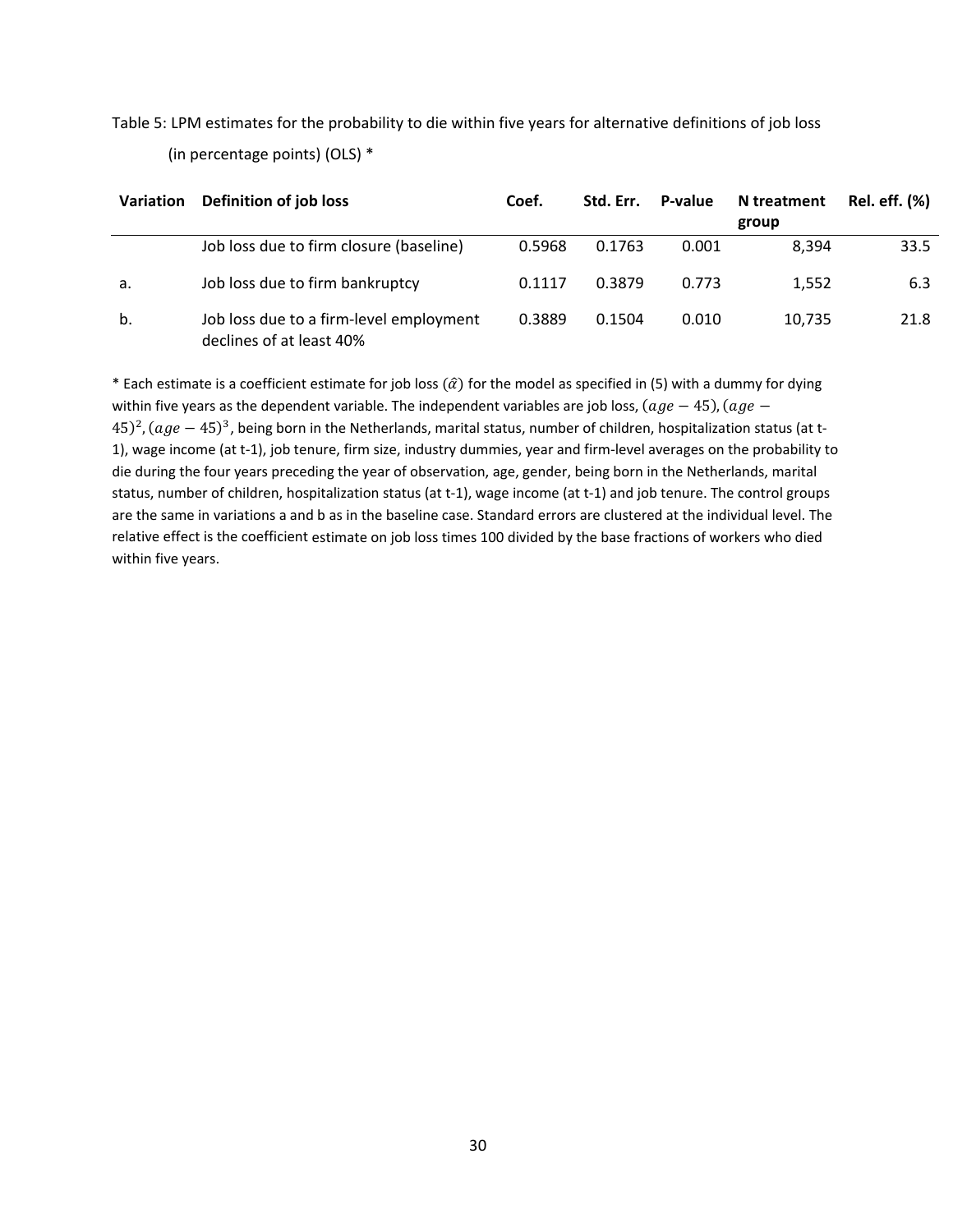Table 5: LPM estimates for the probability to die within five years for alternative definitions of job loss (in percentage points) (OLS) \*

| <b>Variation</b> | Definition of job loss                                              | Coef.  | Std. Err. | P-value | N treatment | <b>Rel. eff.</b> (%) |
|------------------|---------------------------------------------------------------------|--------|-----------|---------|-------------|----------------------|
|                  |                                                                     |        |           |         | group       |                      |
|                  | Job loss due to firm closure (baseline)                             | 0.5968 | 0.1763    | 0.001   | 8.394       | 33.5                 |
| a.               | Job loss due to firm bankruptcy                                     | 0.1117 | 0.3879    | 0.773   | 1,552       | 6.3                  |
| b.               | Job loss due to a firm-level employment<br>declines of at least 40% | 0.3889 | 0.1504    | 0.010   | 10.735      | 21.8                 |

\* Each estimate is a coefficient estimate for job loss  $(\hat{\alpha})$  for the model as specified in (5) with a dummy for dying within five years as the dependent variable. The independent variables are job loss,  $(age - 45)$ ,  $(age - 45)$  $(45)^2$ ,  $(age-45)^3$ , being born in the Netherlands, marital status, number of children, hospitalization status (at t-1), wage income (at t‐1), job tenure, firm size, industry dummies, year and firm‐level averages on the probability to die during the four years preceding the year of observation, age, gender, being born in the Netherlands, marital status, number of children, hospitalization status (at t‐1), wage income (at t‐1) and job tenure. The control groups are the same in variations a and b as in the baseline case. Standard errors are clustered at the individual level. The relative effect is the coefficient estimate on job loss times 100 divided by the base fractions of workers who died within five years.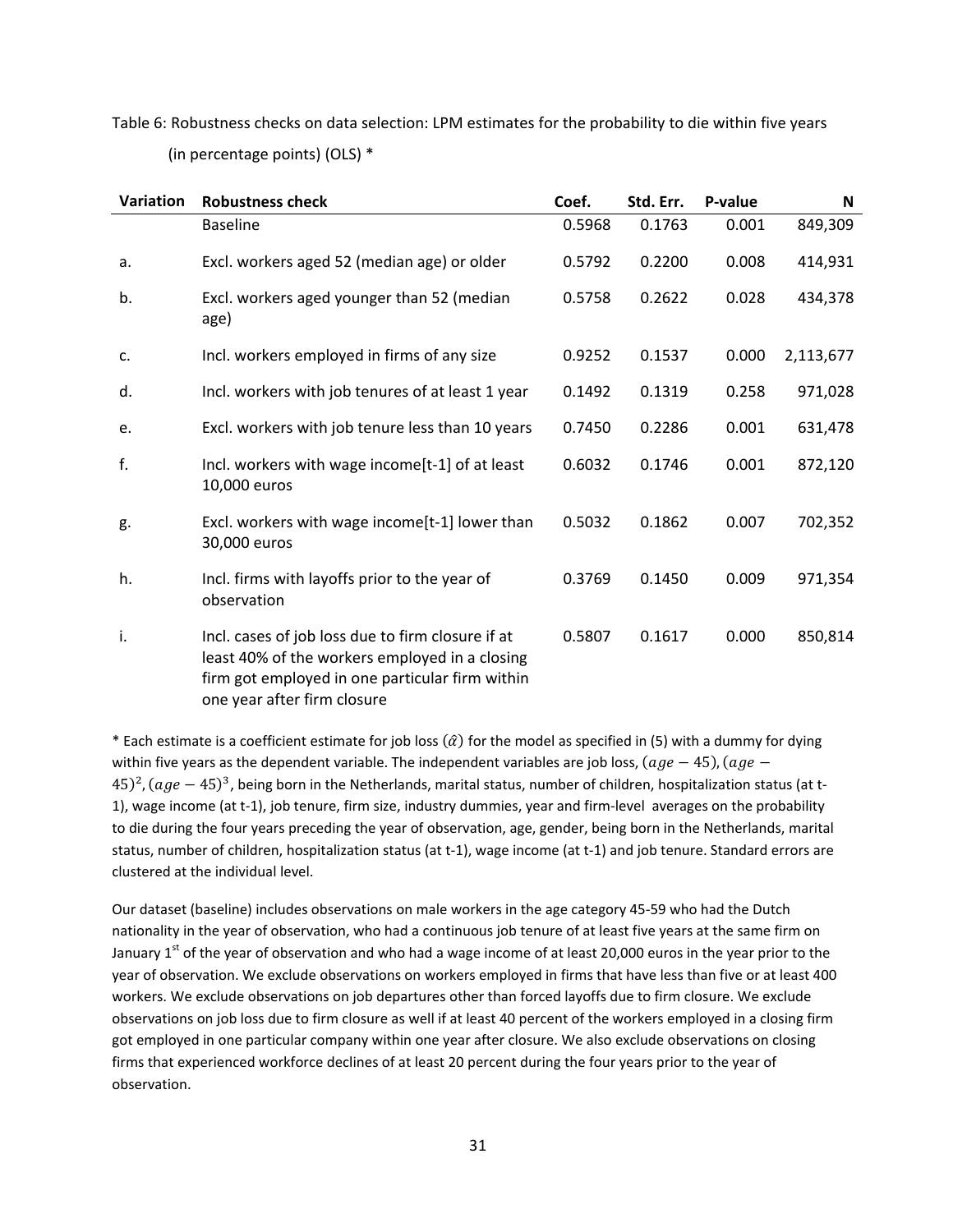Table 6: Robustness checks on data selection: LPM estimates for the probability to die within five years (in percentage points) (OLS) \*

| Variation | <b>Robustness check</b>                                                                                                                                                               | Coef.  | Std. Err. | P-value | N         |
|-----------|---------------------------------------------------------------------------------------------------------------------------------------------------------------------------------------|--------|-----------|---------|-----------|
|           | <b>Baseline</b>                                                                                                                                                                       | 0.5968 | 0.1763    | 0.001   | 849,309   |
| a.        | Excl. workers aged 52 (median age) or older                                                                                                                                           | 0.5792 | 0.2200    | 0.008   | 414,931   |
| b.        | Excl. workers aged younger than 52 (median<br>age)                                                                                                                                    | 0.5758 | 0.2622    | 0.028   | 434,378   |
| c.        | Incl. workers employed in firms of any size                                                                                                                                           | 0.9252 | 0.1537    | 0.000   | 2,113,677 |
| d.        | Incl. workers with job tenures of at least 1 year                                                                                                                                     | 0.1492 | 0.1319    | 0.258   | 971,028   |
| e.        | Excl. workers with job tenure less than 10 years                                                                                                                                      | 0.7450 | 0.2286    | 0.001   | 631,478   |
| f.        | Incl. workers with wage income[t-1] of at least<br>10,000 euros                                                                                                                       | 0.6032 | 0.1746    | 0.001   | 872,120   |
| g.        | Excl. workers with wage income[t-1] lower than<br>30,000 euros                                                                                                                        | 0.5032 | 0.1862    | 0.007   | 702,352   |
| h.        | Incl. firms with layoffs prior to the year of<br>observation                                                                                                                          | 0.3769 | 0.1450    | 0.009   | 971,354   |
| i.        | Incl. cases of job loss due to firm closure if at<br>least 40% of the workers employed in a closing<br>firm got employed in one particular firm within<br>one year after firm closure | 0.5807 | 0.1617    | 0.000   | 850,814   |

\* Each estimate is a coefficient estimate for job loss  $(\hat{a})$  for the model as specified in (5) with a dummy for dying within five years as the dependent variable. The independent variables are job loss,  $(age - 45)$ ,  $(age (45)^2$ ,  $(age-45)^3$ , being born in the Netherlands, marital status, number of children, hospitalization status (at t-1), wage income (at t‐1), job tenure, firm size, industry dummies, year and firm‐level averages on the probability to die during the four years preceding the year of observation, age, gender, being born in the Netherlands, marital status, number of children, hospitalization status (at t‐1), wage income (at t‐1) and job tenure. Standard errors are clustered at the individual level.

Our dataset (baseline) includes observations on male workers in the age category 45‐59 who had the Dutch nationality in the year of observation, who had a continuous job tenure of at least five years at the same firm on January  $1<sup>st</sup>$  of the year of observation and who had a wage income of at least 20,000 euros in the year prior to the year of observation. We exclude observations on workers employed in firms that have less than five or at least 400 workers. We exclude observations on job departures other than forced layoffs due to firm closure. We exclude observations on job loss due to firm closure as well if at least 40 percent of the workers employed in a closing firm got employed in one particular company within one year after closure. We also exclude observations on closing firms that experienced workforce declines of at least 20 percent during the four years prior to the year of observation.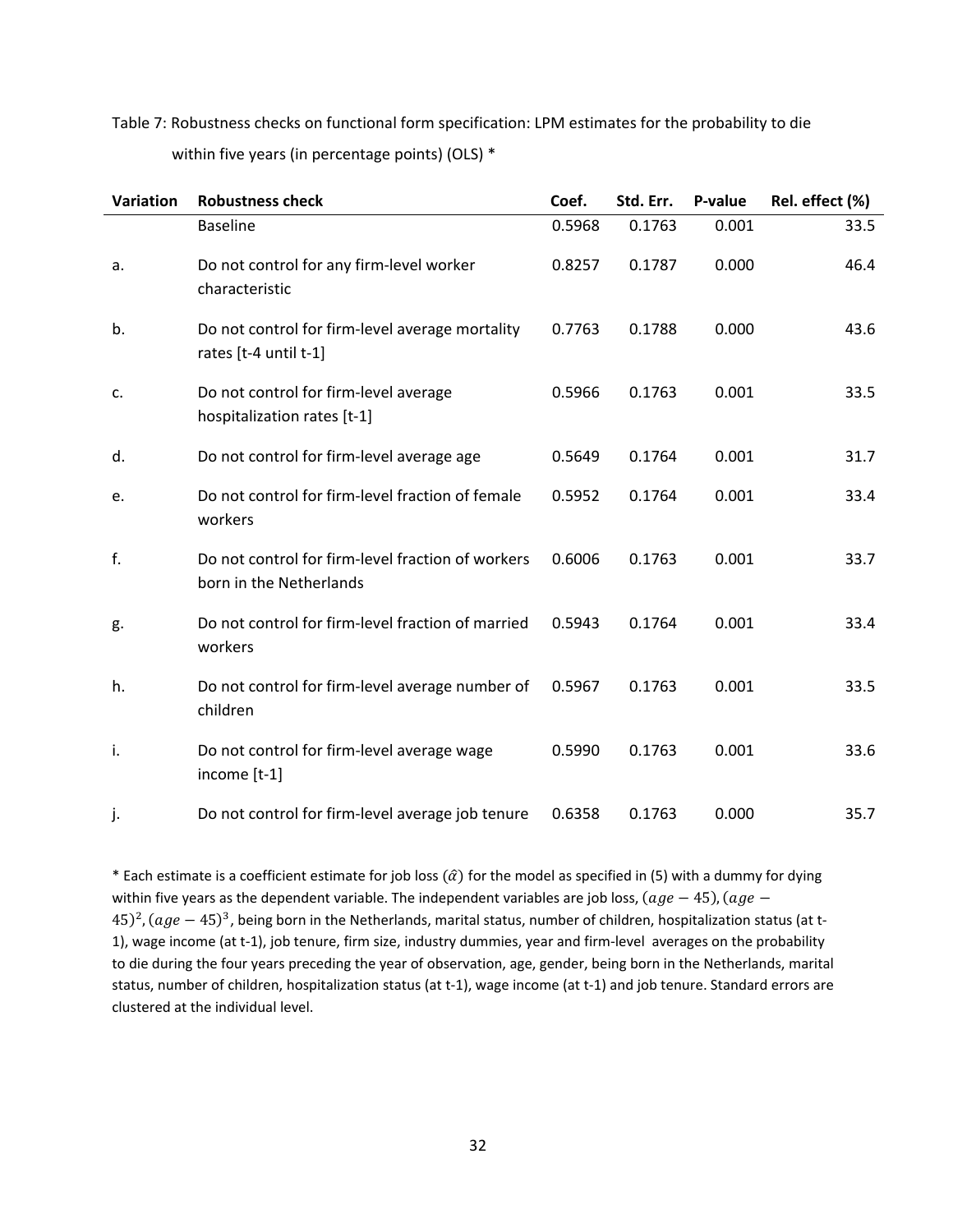Table 7: Robustness checks on functional form specification: LPM estimates for the probability to die within five years (in percentage points) (OLS) \*

| Variation | <b>Robustness check</b>                                                      | Coef.  | Std. Err. | P-value | Rel. effect (%) |
|-----------|------------------------------------------------------------------------------|--------|-----------|---------|-----------------|
|           | <b>Baseline</b>                                                              | 0.5968 | 0.1763    | 0.001   | 33.5            |
| a.        | Do not control for any firm-level worker<br>characteristic                   | 0.8257 | 0.1787    | 0.000   | 46.4            |
| b.        | Do not control for firm-level average mortality<br>rates [t-4 until t-1]     | 0.7763 | 0.1788    | 0.000   | 43.6            |
| c.        | Do not control for firm-level average<br>hospitalization rates [t-1]         | 0.5966 | 0.1763    | 0.001   | 33.5            |
| d.        | Do not control for firm-level average age                                    | 0.5649 | 0.1764    | 0.001   | 31.7            |
| e.        | Do not control for firm-level fraction of female<br>workers                  | 0.5952 | 0.1764    | 0.001   | 33.4            |
| f.        | Do not control for firm-level fraction of workers<br>born in the Netherlands | 0.6006 | 0.1763    | 0.001   | 33.7            |
| g.        | Do not control for firm-level fraction of married<br>workers                 | 0.5943 | 0.1764    | 0.001   | 33.4            |
| h.        | Do not control for firm-level average number of<br>children                  | 0.5967 | 0.1763    | 0.001   | 33.5            |
| i.        | Do not control for firm-level average wage<br>income [t-1]                   | 0.5990 | 0.1763    | 0.001   | 33.6            |
| j.        | Do not control for firm-level average job tenure                             | 0.6358 | 0.1763    | 0.000   | 35.7            |

\* Each estimate is a coefficient estimate for job loss  $(\hat{\alpha})$  for the model as specified in (5) with a dummy for dying within five years as the dependent variable. The independent variables are job loss,  $(age - 45)$ ,  $(age - 45)$  $(45)^2$ ,  $(age-45)^3$ , being born in the Netherlands, marital status, number of children, hospitalization status (at t-1), wage income (at t‐1), job tenure, firm size, industry dummies, year and firm‐level averages on the probability to die during the four years preceding the year of observation, age, gender, being born in the Netherlands, marital status, number of children, hospitalization status (at t‐1), wage income (at t‐1) and job tenure. Standard errors are clustered at the individual level.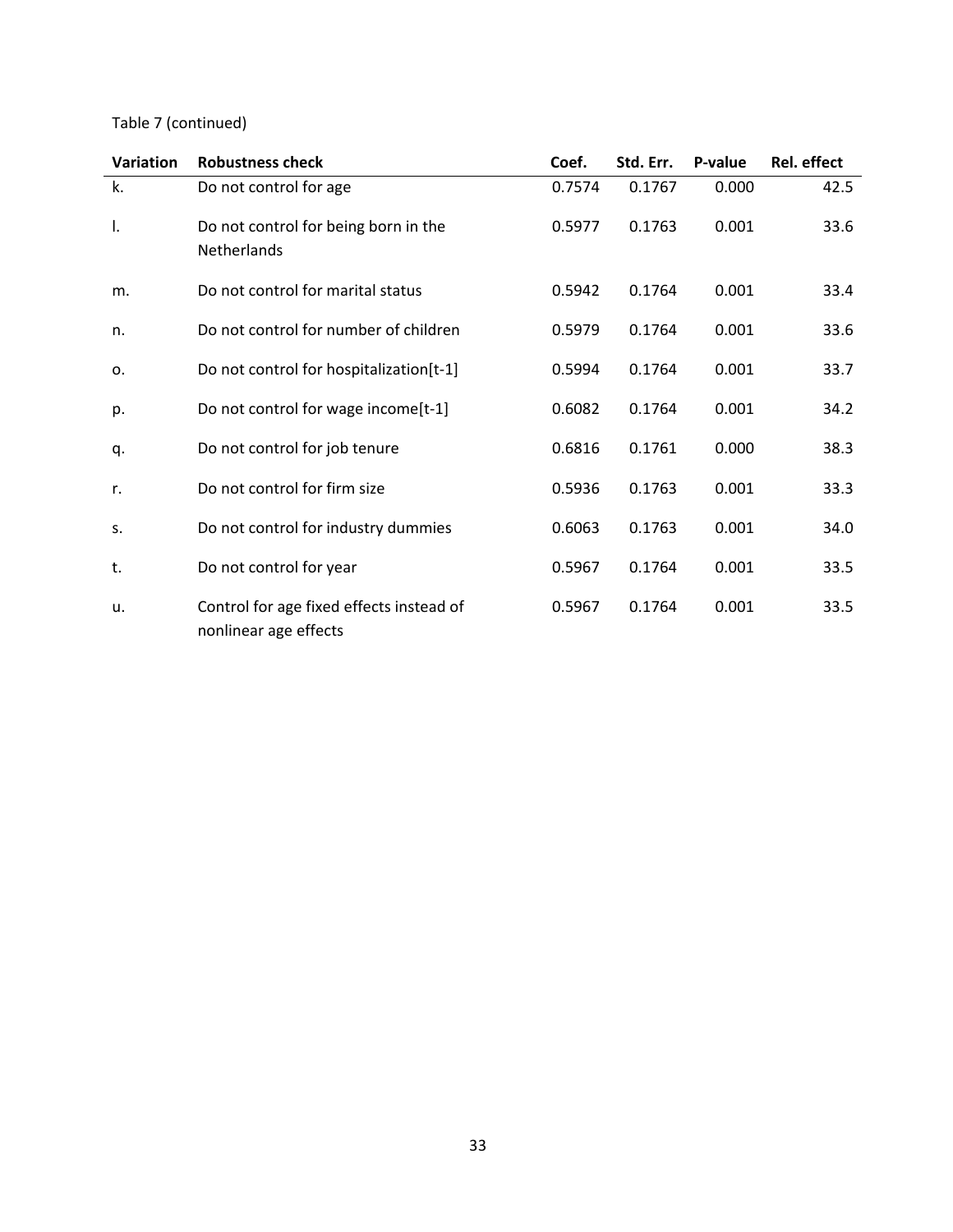Table 7 (continued)

| Variation      | <b>Robustness check</b>                                           | Coef.  | Std. Err. | P-value | Rel. effect |
|----------------|-------------------------------------------------------------------|--------|-----------|---------|-------------|
| k.             | Do not control for age                                            | 0.7574 | 0.1767    | 0.000   | 42.5        |
| $\mathbf{I}$ . | Do not control for being born in the<br>Netherlands               | 0.5977 | 0.1763    | 0.001   | 33.6        |
| m.             | Do not control for marital status                                 | 0.5942 | 0.1764    | 0.001   | 33.4        |
| n.             | Do not control for number of children                             | 0.5979 | 0.1764    | 0.001   | 33.6        |
| 0.             | Do not control for hospitalization[t-1]                           | 0.5994 | 0.1764    | 0.001   | 33.7        |
| p.             | Do not control for wage income[t-1]                               | 0.6082 | 0.1764    | 0.001   | 34.2        |
| q.             | Do not control for job tenure                                     | 0.6816 | 0.1761    | 0.000   | 38.3        |
| r.             | Do not control for firm size                                      | 0.5936 | 0.1763    | 0.001   | 33.3        |
| S.             | Do not control for industry dummies                               | 0.6063 | 0.1763    | 0.001   | 34.0        |
| t.             | Do not control for year                                           | 0.5967 | 0.1764    | 0.001   | 33.5        |
| u.             | Control for age fixed effects instead of<br>nonlinear age effects | 0.5967 | 0.1764    | 0.001   | 33.5        |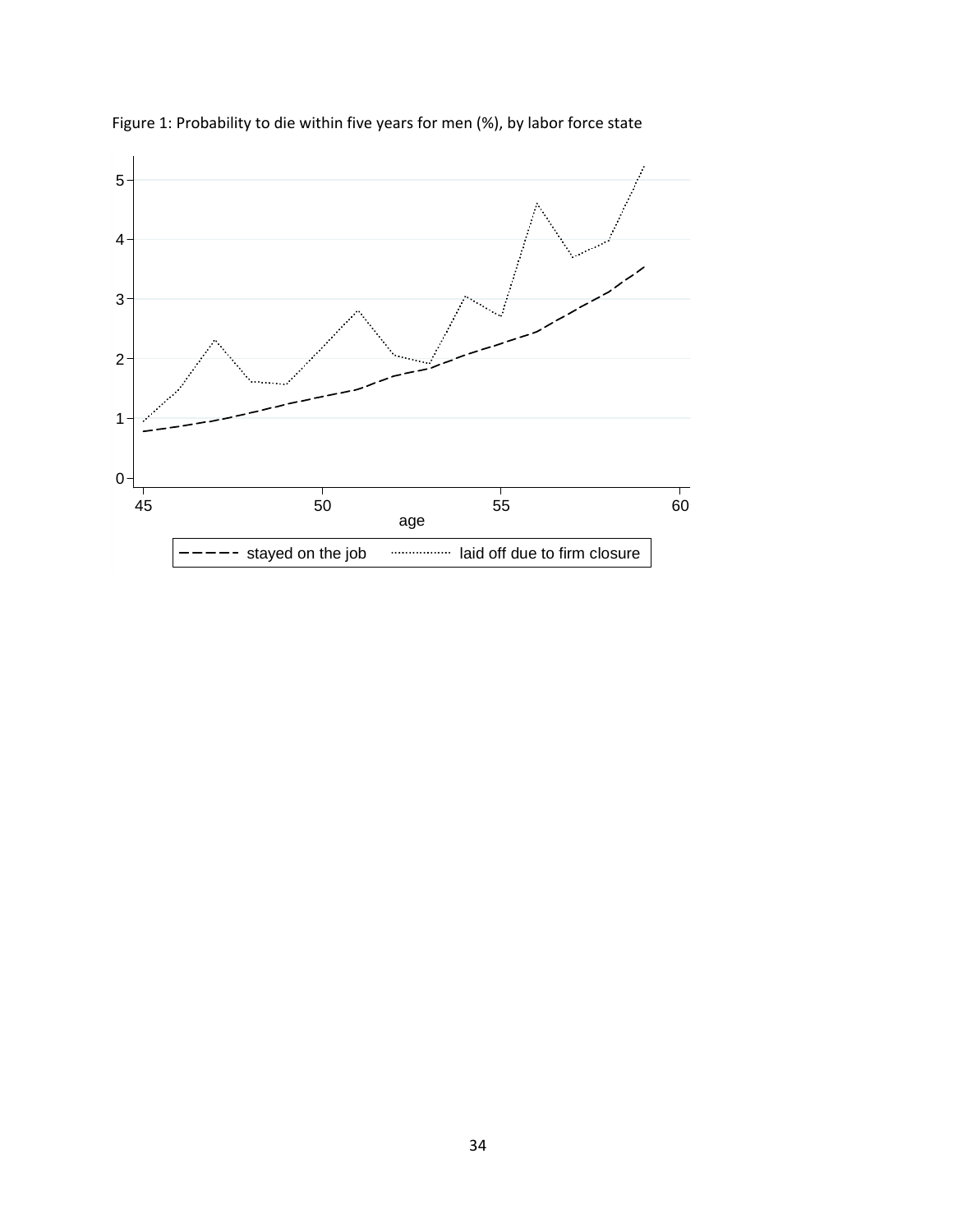

Figure 1: Probability to die within five years for men (%), by labor force state